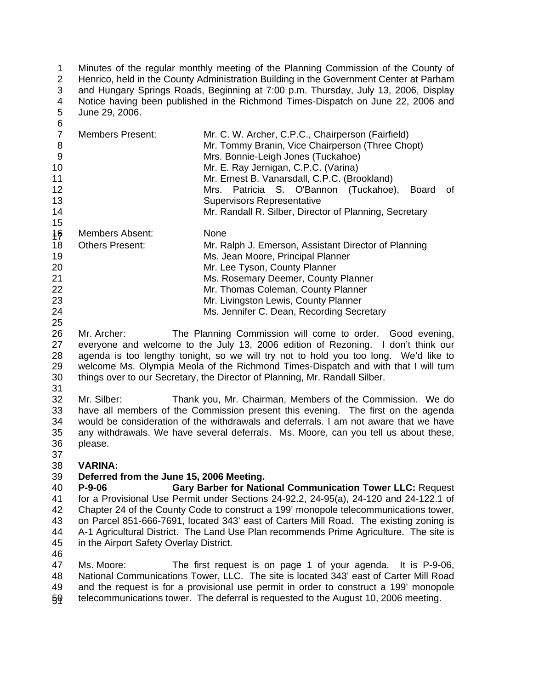Minutes of the regular monthly meeting of the Planning Commission of the County of Henrico, held in the County Administration Building in the Government Center at Parham and Hungary Springs Roads, Beginning at 7:00 p.m. Thursday, July 13, 2006, Display Notice having been published in the Richmond Times-Dispatch on June 22, 2006 and June 29, 2006. 1 2 3 4 5

| ັ                  |                         |                                                                                                                                                                                                                                     |  |
|--------------------|-------------------------|-------------------------------------------------------------------------------------------------------------------------------------------------------------------------------------------------------------------------------------|--|
| 8<br>9<br>10<br>11 | <b>Members Present:</b> | Mr. C. W. Archer, C.P.C., Chairperson (Fairfield)<br>Mr. Tommy Branin, Vice Chairperson (Three Chopt)<br>Mrs. Bonnie-Leigh Jones (Tuckahoe)<br>Mr. E. Ray Jernigan, C.P.C. (Varina)<br>Mr. Ernest B. Vanarsdall, C.P.C. (Brookland) |  |
| 12                 |                         | Mrs. Patricia S. O'Bannon (Tuckahoe),<br>0f<br>Board                                                                                                                                                                                |  |
| 13                 |                         | <b>Supervisors Representative</b>                                                                                                                                                                                                   |  |
| 14                 |                         | Mr. Randall R. Silber, Director of Planning, Secretary                                                                                                                                                                              |  |
| 15                 |                         |                                                                                                                                                                                                                                     |  |
| 16                 | Members Absent:         | None                                                                                                                                                                                                                                |  |
| 18                 | <b>Others Present:</b>  | Mr. Ralph J. Emerson, Assistant Director of Planning                                                                                                                                                                                |  |
| 19                 |                         | Ms. Jean Moore, Principal Planner                                                                                                                                                                                                   |  |
| 20                 |                         | Mr. Lee Tyson, County Planner                                                                                                                                                                                                       |  |
| 21                 |                         | Ms. Rosemary Deemer, County Planner                                                                                                                                                                                                 |  |
| 22                 |                         | Mr. Thomas Coleman, County Planner                                                                                                                                                                                                  |  |
| 23                 |                         | Mr. Livingston Lewis, County Planner                                                                                                                                                                                                |  |
| 24                 |                         | Ms. Jennifer C. Dean, Recording Secretary                                                                                                                                                                                           |  |
| 25                 |                         |                                                                                                                                                                                                                                     |  |

26 27 28 29 30 Mr. Archer: The Planning Commission will come to order. Good evening, everyone and welcome to the July 13, 2006 edition of Rezoning. I don't think our agenda is too lengthy tonight, so we will try not to hold you too long. We'd like to welcome Ms. Olympia Meola of the Richmond Times-Dispatch and with that I will turn things over to our Secretary, the Director of Planning, Mr. Randall Silber.

31

6

32 33 34 35 36 Mr. Silber: Thank you, Mr. Chairman, Members of the Commission. We do have all members of the Commission present this evening. The first on the agenda would be consideration of the withdrawals and deferrals. I am not aware that we have any withdrawals. We have several deferrals. Ms. Moore, can you tell us about these, please.

## 37 38 **VARINA:**

## 39 **Deferred from the June 15, 2006 Meeting.**

40 41 42 43 44 45 **P-9-06 Gary Barber for National Communication Tower LLC: Request Communication Tower LLC: Request** for a Provisional Use Permit under Sections 24-92.2, 24-95(a), 24-120 and 24-122.1 of Chapter 24 of the County Code to construct a 199' monopole telecommunications tower, on Parcel 851-666-7691, located 343' east of Carters Mill Road. The existing zoning is A-1 Agricultural District. The Land Use Plan recommends Prime Agriculture. The site is in the Airport Safety Overlay District.

46

47 48 49 50 51 Ms. Moore: The first request is on page 1 of your agenda. It is P-9-06, National Communications Tower, LLC. The site is located 343' east of Carter Mill Road and the request is for a provisional use permit in order to construct a 199' monopole telecommunications tower. The deferral is requested to the August 10, 2006 meeting.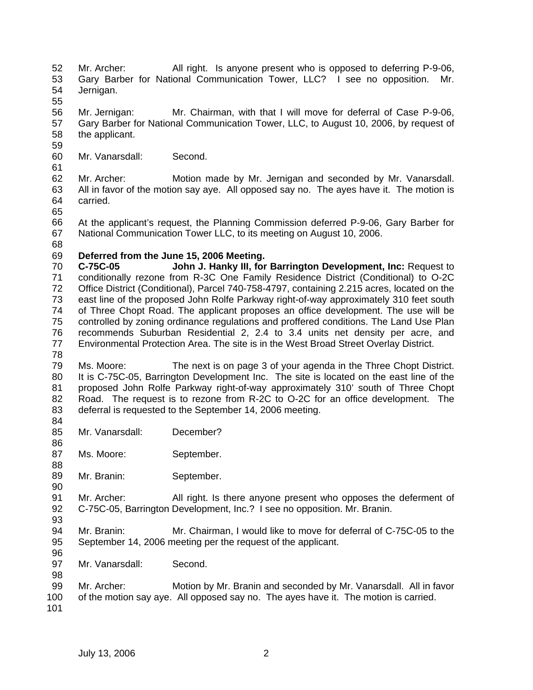- 52 53 54 Mr. Archer: All right. Is anyone present who is opposed to deferring P-9-06, Gary Barber for National Communication Tower, LLC? I see no opposition. Mr. Jernigan.
- 55

56 57 58 Mr. Jernigan: Mr. Chairman, with that I will move for deferral of Case P-9-06, Gary Barber for National Communication Tower, LLC, to August 10, 2006, by request of the applicant.

59 60

61

Mr. Vanarsdall: Second.

62 63 64 Mr. Archer: Motion made by Mr. Jernigan and seconded by Mr. Vanarsdall. All in favor of the motion say aye. All opposed say no. The ayes have it. The motion is carried.

65

66 67 At the applicant's request, the Planning Commission deferred P-9-06, Gary Barber for National Communication Tower LLC, to its meeting on August 10, 2006.

68

## 69 **Deferred from the June 15, 2006 Meeting.**

70 71 72 73 74 75 76 77 **C-75C-05 John J. Hanky III, for Barrington Development, Inc:** Request to conditionally rezone from R-3C One Family Residence District (Conditional) to O-2C Office District (Conditional), Parcel 740-758-4797, containing 2.215 acres, located on the east line of the proposed John Rolfe Parkway right-of-way approximately 310 feet south of Three Chopt Road. The applicant proposes an office development. The use will be controlled by zoning ordinance regulations and proffered conditions. The Land Use Plan recommends Suburban Residential 2, 2.4 to 3.4 units net density per acre, and Environmental Protection Area. The site is in the West Broad Street Overlay District.

78

79 80 81 82 83 Ms. Moore: The next is on page 3 of your agenda in the Three Chopt District. It is C-75C-05, Barrington Development Inc. The site is located on the east line of the proposed John Rolfe Parkway right-of-way approximately 310' south of Three Chopt Road. The request is to rezone from R-2C to O-2C for an office development. The deferral is requested to the September 14, 2006 meeting.

- 84 85 Mr. Vanarsdall: December?
- 87 Ms. Moore: September.
- 89 Mr. Branin: September.

91 92 Mr. Archer: All right. Is there anyone present who opposes the deferment of C-75C-05, Barrington Development, Inc.? I see no opposition. Mr. Branin.

93

86

88

90

94 95 96 Mr. Branin: Mr. Chairman, I would like to move for deferral of C-75C-05 to the September 14, 2006 meeting per the request of the applicant.

- 97 Mr. Vanarsdall: Second.
- 98 99 100 Mr. Archer: Motion by Mr. Branin and seconded by Mr. Vanarsdall. All in favor of the motion say aye. All opposed say no. The ayes have it. The motion is carried.
- 101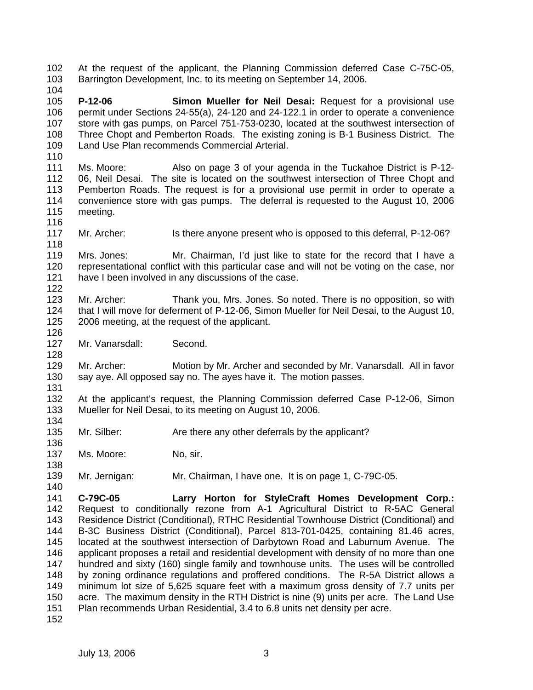102 103 At the request of the applicant, the Planning Commission deferred Case C-75C-05, Barrington Development, Inc. to its meeting on September 14, 2006.

104

110

116

126

128

131

136

138

140

105 106 107 108 109 **P-12-06 Simon Mueller for Neil Desai:** Request for a provisional use permit under Sections 24-55(a), 24-120 and 24-122.1 in order to operate a convenience store with gas pumps, on Parcel 751-753-0230, located at the southwest intersection of Three Chopt and Pemberton Roads. The existing zoning is B-1 Business District. The Land Use Plan recommends Commercial Arterial.

- 111 112 113 114 115 Ms. Moore: Also on page 3 of your agenda in the Tuckahoe District is P-12- 06, Neil Desai. The site is located on the southwest intersection of Three Chopt and Pemberton Roads. The request is for a provisional use permit in order to operate a convenience store with gas pumps. The deferral is requested to the August 10, 2006 meeting.
- 117 118 Mr. Archer: Is there anyone present who is opposed to this deferral, P-12-06?

119 120 121 122 Mrs. Jones: Mr. Chairman, I'd just like to state for the record that I have a representational conflict with this particular case and will not be voting on the case, nor have I been involved in any discussions of the case.

- 123 124 125 Mr. Archer: Thank you, Mrs. Jones. So noted. There is no opposition, so with that I will move for deferment of P-12-06, Simon Mueller for Neil Desai, to the August 10, 2006 meeting, at the request of the applicant.
- 127 Mr. Vanarsdall: Second.

129 130 Mr. Archer: Motion by Mr. Archer and seconded by Mr. Vanarsdall. All in favor say aye. All opposed say no. The ayes have it. The motion passes.

- 132 133 134 At the applicant's request, the Planning Commission deferred Case P-12-06, Simon Mueller for Neil Desai, to its meeting on August 10, 2006.
- 135 Mr. Silber: Are there any other deferrals by the applicant?
- 137 Ms. Moore: No, sir.
- 139 Mr. Jernigan: Mr. Chairman, I have one. It is on page 1, C-79C-05.

141 142 143 144 145 146 147 148 149 150 151 **C-79C-05 Larry Horton for StyleCraft Homes Development Corp.:**  Request to conditionally rezone from A-1 Agricultural District to R-5AC General Residence District (Conditional), RTHC Residential Townhouse District (Conditional) and B-3C Business District (Conditional), Parcel 813-701-0425, containing 81.46 acres, located at the southwest intersection of Darbytown Road and Laburnum Avenue. The applicant proposes a retail and residential development with density of no more than one hundred and sixty (160) single family and townhouse units. The uses will be controlled by zoning ordinance regulations and proffered conditions. The R-5A District allows a minimum lot size of 5,625 square feet with a maximum gross density of 7.7 units per acre. The maximum density in the RTH District is nine (9) units per acre. The Land Use Plan recommends Urban Residential, 3.4 to 6.8 units net density per acre.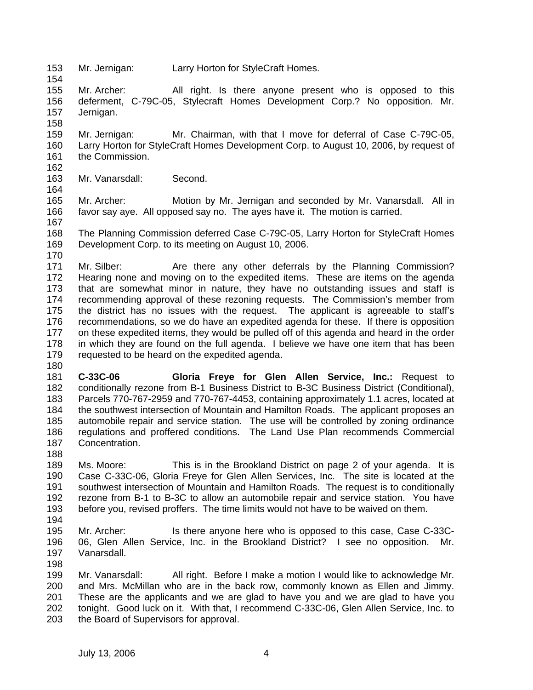153 154 Mr. Jernigan: Larry Horton for StyleCraft Homes.

155 156 157 Mr. Archer: All right. Is there anyone present who is opposed to this deferment, C-79C-05, Stylecraft Homes Development Corp.? No opposition. Mr. Jernigan.

159 160 161 162 Mr. Jernigan: Mr. Chairman, with that I move for deferral of Case C-79C-05, Larry Horton for StyleCraft Homes Development Corp. to August 10, 2006, by request of the Commission.

- 163 Mr. Vanarsdall: Second.
- 164

170

158

165 166 Mr. Archer: Motion by Mr. Jernigan and seconded by Mr. Vanarsdall. All in favor say aye. All opposed say no. The ayes have it. The motion is carried.

167 168 169 The Planning Commission deferred Case C-79C-05, Larry Horton for StyleCraft Homes Development Corp. to its meeting on August 10, 2006.

171 172 173 174 175 176 177 178 179 Mr. Silber: Are there any other deferrals by the Planning Commission? Hearing none and moving on to the expedited items. These are items on the agenda that are somewhat minor in nature, they have no outstanding issues and staff is recommending approval of these rezoning requests. The Commission's member from the district has no issues with the request. The applicant is agreeable to staff's recommendations, so we do have an expedited agenda for these. If there is opposition on these expedited items, they would be pulled off of this agenda and heard in the order in which they are found on the full agenda. I believe we have one item that has been requested to be heard on the expedited agenda.

180

181 182 183 184 185 186 187 **C-33C-06 Gloria Freye for Glen Allen Service, Inc.:** Request to conditionally rezone from B-1 Business District to B-3C Business District (Conditional), Parcels 770-767-2959 and 770-767-4453, containing approximately 1.1 acres, located at the southwest intersection of Mountain and Hamilton Roads. The applicant proposes an automobile repair and service station. The use will be controlled by zoning ordinance regulations and proffered conditions. The Land Use Plan recommends Commercial Concentration.

188

189 190 191 192 193 Ms. Moore: This is in the Brookland District on page 2 of your agenda. It is Case C-33C-06, Gloria Freye for Glen Allen Services, Inc. The site is located at the southwest intersection of Mountain and Hamilton Roads. The request is to conditionally rezone from B-1 to B-3C to allow an automobile repair and service station. You have before you, revised proffers. The time limits would not have to be waived on them.

- 194
- 195 196 197 Mr. Archer: Is there anyone here who is opposed to this case, Case C-33C-06, Glen Allen Service, Inc. in the Brookland District? I see no opposition. Mr. Vanarsdall.
- 198

199 200 201 202 203 Mr. Vanarsdall: All right. Before I make a motion I would like to acknowledge Mr. and Mrs. McMillan who are in the back row, commonly known as Ellen and Jimmy. These are the applicants and we are glad to have you and we are glad to have you tonight. Good luck on it. With that, I recommend C-33C-06, Glen Allen Service, Inc. to the Board of Supervisors for approval.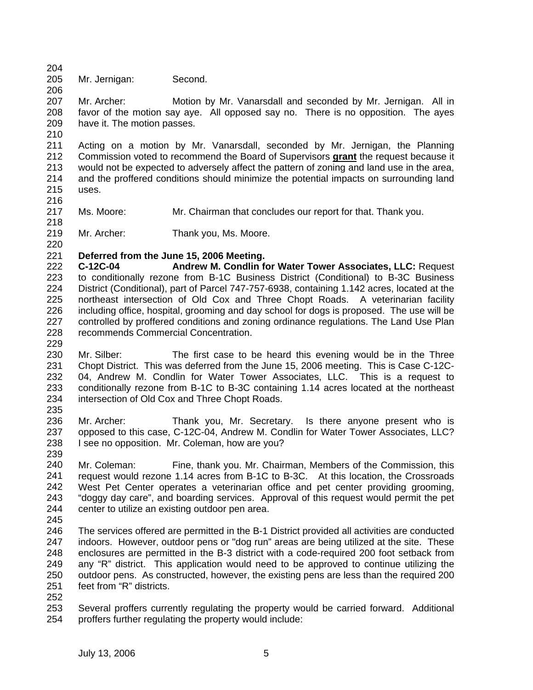204 205 Mr. Jernigan: Second.

207 208 209 Mr. Archer: Motion by Mr. Vanarsdall and seconded by Mr. Jernigan. All in favor of the motion say aye. All opposed say no. There is no opposition. The ayes have it. The motion passes.

210

216

206

211 Acting on a motion by Mr. Vanarsdall, seconded by Mr. Jernigan, the Planning Commission voted to recommend the Board of Supervisors **grant** the request because it would not be expected to adversely affect the pattern of zoning and land use in the area, and the proffered conditions should minimize the potential impacts on surrounding land uses. 212 213 214 215

- 217 218 Ms. Moore: Mr. Chairman that concludes our report for that. Thank you.
- 219 Mr. Archer: Thank you, Ms. Moore.
- 220 221 **Deferred from the June 15, 2006 Meeting.**
- 222 223 224 225 226 227 228 229 **C-12C-04 Andrew M. Condlin for Water Tower Associates, LLC:** Request to conditionally rezone from B-1C Business District (Conditional) to B-3C Business District (Conditional), part of Parcel 747-757-6938, containing 1.142 acres, located at the northeast intersection of Old Cox and Three Chopt Roads. A veterinarian facility including office, hospital, grooming and day school for dogs is proposed. The use will be controlled by proffered conditions and zoning ordinance regulations. The Land Use Plan recommends Commercial Concentration.
- 230 231 232 233 234 235 Mr. Silber: The first case to be heard this evening would be in the Three Chopt District. This was deferred from the June 15, 2006 meeting. This is Case C-12C-04, Andrew M. Condlin for Water Tower Associates, LLC. This is a request to conditionally rezone from B-1C to B-3C containing 1.14 acres located at the northeast intersection of Old Cox and Three Chopt Roads.
- 236 237 238 239 Mr. Archer: Thank you, Mr. Secretary. Is there anyone present who is opposed to this case, C-12C-04, Andrew M. Condlin for Water Tower Associates, LLC? I see no opposition. Mr. Coleman, how are you?
- 240 241 242 243 244 Mr. Coleman: Fine, thank you. Mr. Chairman, Members of the Commission, this request would rezone 1.14 acres from B-1C to B-3C. At this location, the Crossroads West Pet Center operates a veterinarian office and pet center providing grooming, "doggy day care", and boarding services. Approval of this request would permit the pet center to utilize an existing outdoor pen area.
- 245
- 246 247 248 249 250 251 The services offered are permitted in the B-1 District provided all activities are conducted indoors. However, outdoor pens or "dog run" areas are being utilized at the site. These enclosures are permitted in the B-3 district with a code-required 200 foot setback from any "R" district. This application would need to be approved to continue utilizing the outdoor pens. As constructed, however, the existing pens are less than the required 200 feet from "R" districts.
- 252
- 253 254 Several proffers currently regulating the property would be carried forward. Additional proffers further regulating the property would include: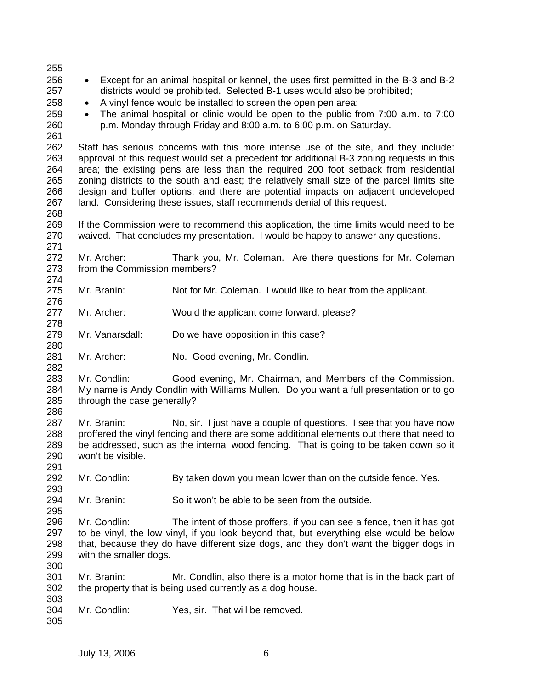255 256 257 258 259 260 261 262 263 264 265 266 267 268 269 270 271 272 273 274 275 276 277 278 279 280 281 282 283 284 285 286 287 288 289 290 291 292 293 294 295 296 297 298 299 300 301 302 303 304 305 • Except for an animal hospital or kennel, the uses first permitted in the B-3 and B-2 districts would be prohibited. Selected B-1 uses would also be prohibited; • A vinyl fence would be installed to screen the open pen area; • The animal hospital or clinic would be open to the public from 7:00 a.m. to 7:00 p.m. Monday through Friday and 8:00 a.m. to 6:00 p.m. on Saturday. Staff has serious concerns with this more intense use of the site, and they include: approval of this request would set a precedent for additional B-3 zoning requests in this area; the existing pens are less than the required 200 foot setback from residential zoning districts to the south and east; the relatively small size of the parcel limits site design and buffer options; and there are potential impacts on adjacent undeveloped land. Considering these issues, staff recommends denial of this request. If the Commission were to recommend this application, the time limits would need to be waived. That concludes my presentation. I would be happy to answer any questions. Mr. Archer: Thank you, Mr. Coleman. Are there questions for Mr. Coleman from the Commission members? Mr. Branin: Not for Mr. Coleman. I would like to hear from the applicant. Mr. Archer: Would the applicant come forward, please? Mr. Vanarsdall: Do we have opposition in this case? Mr. Archer: No. Good evening, Mr. Condlin. Mr. Condlin: Good evening, Mr. Chairman, and Members of the Commission. My name is Andy Condlin with Williams Mullen. Do you want a full presentation or to go through the case generally? Mr. Branin: No, sir. I just have a couple of questions. I see that you have now proffered the vinyl fencing and there are some additional elements out there that need to be addressed, such as the internal wood fencing. That is going to be taken down so it won't be visible. Mr. Condlin: By taken down you mean lower than on the outside fence. Yes. Mr. Branin: So it won't be able to be seen from the outside. Mr. Condlin: The intent of those proffers, if you can see a fence, then it has got to be vinyl, the low vinyl, if you look beyond that, but everything else would be below that, because they do have different size dogs, and they don't want the bigger dogs in with the smaller dogs. Mr. Branin: Mr. Condlin, also there is a motor home that is in the back part of the property that is being used currently as a dog house. Mr. Condlin: Yes, sir. That will be removed.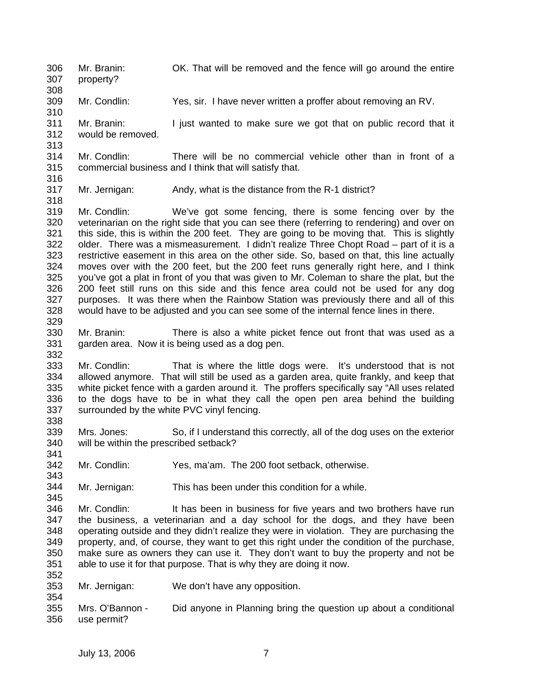306 307 308 309 310 311 312 313 314 315 316 317 318 319 320 321 322 323 324 325 326 327 328 329 330 331 332 333 334 335 336 337 338 339 340 341 342 343 344 345 346 347 348 349 350 351 352 353 354 355 356 Mr. Branin: OK. That will be removed and the fence will go around the entire property? Mr. Condlin: Yes, sir. I have never written a proffer about removing an RV. Mr. Branin: I just wanted to make sure we got that on public record that it would be removed. Mr. Condlin: There will be no commercial vehicle other than in front of a commercial business and I think that will satisfy that. Mr. Jernigan: Andy, what is the distance from the R-1 district? Mr. Condlin: We've got some fencing, there is some fencing over by the veterinarian on the right side that you can see there (referring to rendering) and over on this side, this is within the 200 feet. They are going to be moving that. This is slightly older. There was a mismeasurement. I didn't realize Three Chopt Road – part of it is a restrictive easement in this area on the other side. So, based on that, this line actually moves over with the 200 feet, but the 200 feet runs generally right here, and I think you've got a plat in front of you that was given to Mr. Coleman to share the plat, but the 200 feet still runs on this side and this fence area could not be used for any dog purposes. It was there when the Rainbow Station was previously there and all of this would have to be adjusted and you can see some of the internal fence lines in there. Mr. Branin: There is also a white picket fence out front that was used as a garden area. Now it is being used as a dog pen. Mr. Condlin: That is where the little dogs were. It's understood that is not allowed anymore. That will still be used as a garden area, quite frankly, and keep that white picket fence with a garden around it. The proffers specifically say "All uses related to the dogs have to be in what they call the open pen area behind the building surrounded by the white PVC vinyl fencing. Mrs. Jones: So, if I understand this correctly, all of the dog uses on the exterior will be within the prescribed setback? Mr. Condlin: Yes, ma'am. The 200 foot setback, otherwise. Mr. Jernigan: This has been under this condition for a while. Mr. Condlin: It has been in business for five years and two brothers have run the business, a veterinarian and a day school for the dogs, and they have been operating outside and they didn't realize they were in violation. They are purchasing the property, and, of course, they want to get this right under the condition of the purchase, make sure as owners they can use it. They don't want to buy the property and not be able to use it for that purpose. That is why they are doing it now. Mr. Jernigan: We don't have any opposition. Mrs. O'Bannon - Did anyone in Planning bring the question up about a conditional use permit?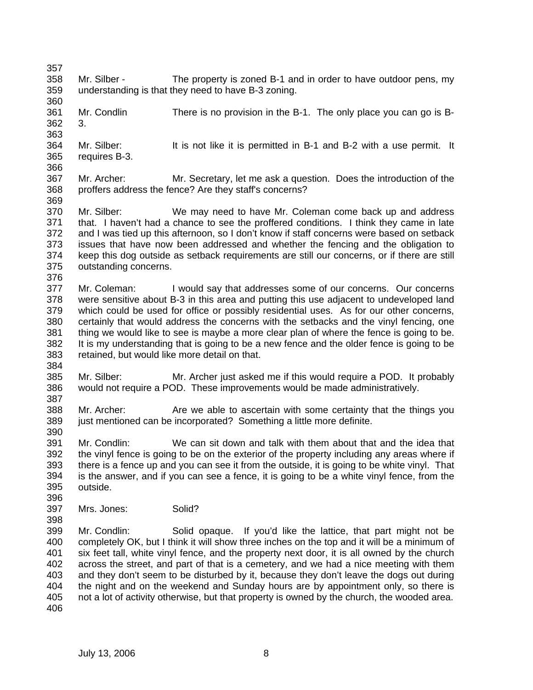357 358 359 360 361 362 363 364 365 366 367 368 369 370 371 372 373 374 375 376 377 378 379 380 381 382 383 384 385 386 387 388 389 390 391 392 393 394 395 396 397 398 399 400 401 402 403 404 405 406 Mr. Silber - The property is zoned B-1 and in order to have outdoor pens, my understanding is that they need to have B-3 zoning. Mr. Condlin There is no provision in the B-1. The only place you can go is B-3. Mr. Silber: It is not like it is permitted in B-1 and B-2 with a use permit. It requires B-3. Mr. Archer: Mr. Secretary, let me ask a question. Does the introduction of the proffers address the fence? Are they staff's concerns? Mr. Silber: We may need to have Mr. Coleman come back up and address that. I haven't had a chance to see the proffered conditions. I think they came in late and I was tied up this afternoon, so I don't know if staff concerns were based on setback issues that have now been addressed and whether the fencing and the obligation to keep this dog outside as setback requirements are still our concerns, or if there are still outstanding concerns. Mr. Coleman: I would say that addresses some of our concerns. Our concerns were sensitive about B-3 in this area and putting this use adjacent to undeveloped land which could be used for office or possibly residential uses. As for our other concerns, certainly that would address the concerns with the setbacks and the vinyl fencing, one thing we would like to see is maybe a more clear plan of where the fence is going to be. It is my understanding that is going to be a new fence and the older fence is going to be retained, but would like more detail on that. Mr. Silber: Mr. Archer just asked me if this would require a POD. It probably would not require a POD. These improvements would be made administratively. Mr. Archer: Are we able to ascertain with some certainty that the things you just mentioned can be incorporated? Something a little more definite. Mr. Condlin: We can sit down and talk with them about that and the idea that the vinyl fence is going to be on the exterior of the property including any areas where if there is a fence up and you can see it from the outside, it is going to be white vinyl. That is the answer, and if you can see a fence, it is going to be a white vinyl fence, from the outside. Mrs. Jones: Solid? Mr. Condlin: Solid opaque. If you'd like the lattice, that part might not be completely OK, but I think it will show three inches on the top and it will be a minimum of six feet tall, white vinyl fence, and the property next door, it is all owned by the church across the street, and part of that is a cemetery, and we had a nice meeting with them and they don't seem to be disturbed by it, because they don't leave the dogs out during the night and on the weekend and Sunday hours are by appointment only, so there is not a lot of activity otherwise, but that property is owned by the church, the wooded area.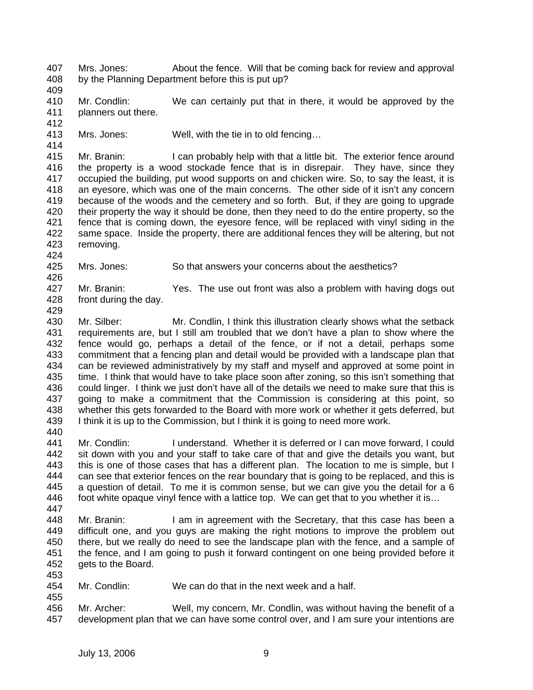407 408 Mrs. Jones: About the fence. Will that be coming back for review and approval by the Planning Department before this is put up?

409

414

424

426

429

410 411 412 Mr. Condlin: We can certainly put that in there, it would be approved by the planners out there.

413 Mrs. Jones: Well, with the tie in to old fencing…

415 416 417 418 419 420 421 422 423 Mr. Branin: I can probably help with that a little bit. The exterior fence around the property is a wood stockade fence that is in disrepair. They have, since they occupied the building, put wood supports on and chicken wire. So, to say the least, it is an eyesore, which was one of the main concerns. The other side of it isn't any concern because of the woods and the cemetery and so forth. But, if they are going to upgrade their property the way it should be done, then they need to do the entire property, so the fence that is coming down, the eyesore fence, will be replaced with vinyl siding in the same space. Inside the property, there are additional fences they will be altering, but not removing.

425 Mrs. Jones: So that answers your concerns about the aesthetics?

427 428 Mr. Branin: Yes. The use out front was also a problem with having dogs out front during the day.

430 431 432 433 434 435 436 437 438 439 440 Mr. Silber: Mr. Condlin, I think this illustration clearly shows what the setback requirements are, but I still am troubled that we don't have a plan to show where the fence would go, perhaps a detail of the fence, or if not a detail, perhaps some commitment that a fencing plan and detail would be provided with a landscape plan that can be reviewed administratively by my staff and myself and approved at some point in time. I think that would have to take place soon after zoning, so this isn't something that could linger. I think we just don't have all of the details we need to make sure that this is going to make a commitment that the Commission is considering at this point, so whether this gets forwarded to the Board with more work or whether it gets deferred, but I think it is up to the Commission, but I think it is going to need more work.

441 442 443 444 445 446 Mr. Condlin: I understand. Whether it is deferred or I can move forward, I could sit down with you and your staff to take care of that and give the details you want, but this is one of those cases that has a different plan. The location to me is simple, but I can see that exterior fences on the rear boundary that is going to be replaced, and this is a question of detail. To me it is common sense, but we can give you the detail for a 6 foot white opaque vinyl fence with a lattice top. We can get that to you whether it is…

447

455

448 449 450 451 452 453 Mr. Branin: I am in agreement with the Secretary, that this case has been a difficult one, and you guys are making the right motions to improve the problem out there, but we really do need to see the landscape plan with the fence, and a sample of the fence, and I am going to push it forward contingent on one being provided before it gets to the Board.

454 Mr. Condlin: We can do that in the next week and a half.

456 457 Mr. Archer: Well, my concern, Mr. Condlin, was without having the benefit of a development plan that we can have some control over, and I am sure your intentions are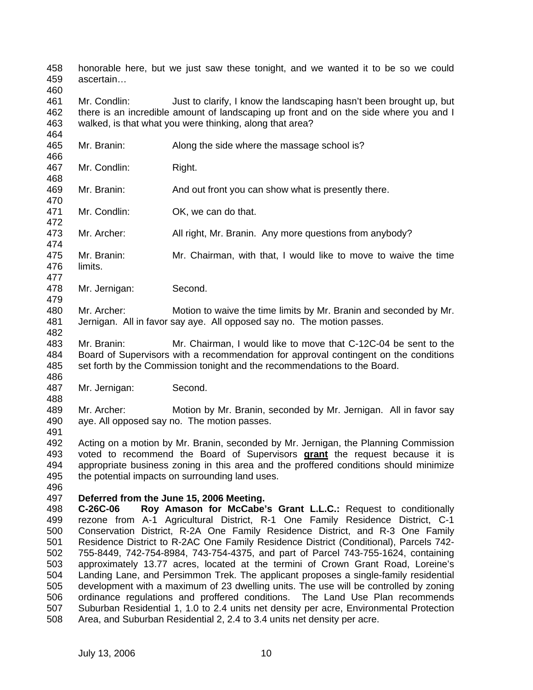458 459 honorable here, but we just saw these tonight, and we wanted it to be so we could ascertain…

460

461 462 463 Mr. Condlin: Just to clarify, I know the landscaping hasn't been brought up, but there is an incredible amount of landscaping up front and on the side where you and I walked, is that what you were thinking, along that area?

464 465 466 467 468 469 470 471 472 473 474 475 476 477 478 Mr. Branin: Along the side where the massage school is? Mr. Condlin: Right. Mr. Branin: And out front you can show what is presently there. Mr. Condlin: **OK, we can do that.** Mr. Archer: All right, Mr. Branin. Any more questions from anybody? Mr. Branin: Mr. Chairman, with that, I would like to move to waive the time limits. Mr. Jernigan: Second.

480 481 482 Mr. Archer: Motion to waive the time limits by Mr. Branin and seconded by Mr. Jernigan. All in favor say aye. All opposed say no. The motion passes.

483 484 485 Mr. Branin: Mr. Chairman, I would like to move that C-12C-04 be sent to the Board of Supervisors with a recommendation for approval contingent on the conditions set forth by the Commission tonight and the recommendations to the Board.

486 487

488

479

Mr. Jernigan: Second.

489 490 Mr. Archer: Motion by Mr. Branin, seconded by Mr. Jernigan. All in favor say aye. All opposed say no. The motion passes.

491

492 Acting on a motion by Mr. Branin, seconded by Mr. Jernigan, the Planning Commission voted to recommend the Board of Supervisors **grant** the request because it is appropriate business zoning in this area and the proffered conditions should minimize the potential impacts on surrounding land uses. 493 494 495 496

## 497 **Deferred from the June 15, 2006 Meeting.**

498 499 500 501 502 503 504 505 506 507 508 **C-26C-06 Roy Amason for McCabe's Grant L.L.C.:** Request to conditionally rezone from A-1 Agricultural District, R-1 One Family Residence District, C-1 Conservation District, R-2A One Family Residence District, and R-3 One Family Residence District to R-2AC One Family Residence District (Conditional), Parcels 742- 755-8449, 742-754-8984, 743-754-4375, and part of Parcel 743-755-1624, containing approximately 13.77 acres, located at the termini of Crown Grant Road, Loreine's Landing Lane, and Persimmon Trek. The applicant proposes a single-family residential development with a maximum of 23 dwelling units. The use will be controlled by zoning ordinance regulations and proffered conditions. The Land Use Plan recommends Suburban Residential 1, 1.0 to 2.4 units net density per acre, Environmental Protection Area, and Suburban Residential 2, 2.4 to 3.4 units net density per acre.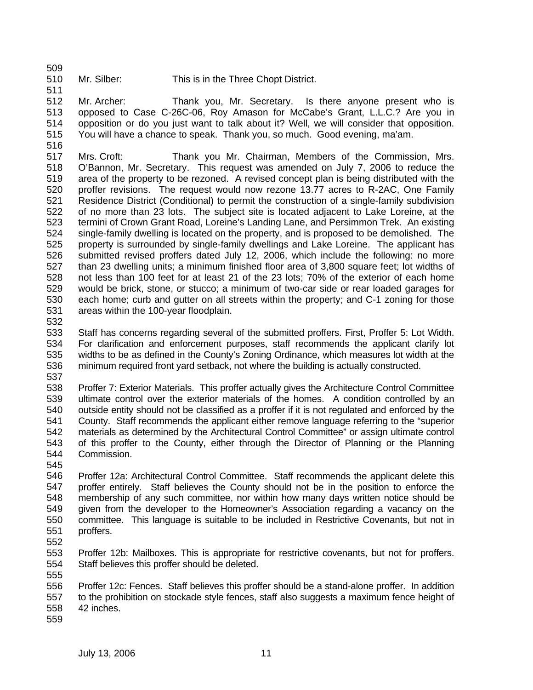509

511

- 510
- Mr. Silber: This is in the Three Chopt District.

512 513 514 515 Mr. Archer: Thank you, Mr. Secretary. Is there anyone present who is opposed to Case C-26C-06, Roy Amason for McCabe's Grant, L.L.C.? Are you in opposition or do you just want to talk about it? Well, we will consider that opposition. You will have a chance to speak. Thank you, so much. Good evening, ma'am.

516

517 518 519 520 521 522 523 524 525 526 527 528 529 530 531 Mrs. Croft: Thank you Mr. Chairman, Members of the Commission, Mrs. O'Bannon, Mr. Secretary. This request was amended on July 7, 2006 to reduce the area of the property to be rezoned. A revised concept plan is being distributed with the proffer revisions. The request would now rezone 13.77 acres to R-2AC, One Family Residence District (Conditional) to permit the construction of a single-family subdivision of no more than 23 lots. The subject site is located adjacent to Lake Loreine, at the termini of Crown Grant Road, Loreine's Landing Lane, and Persimmon Trek. An existing single-family dwelling is located on the property, and is proposed to be demolished. The property is surrounded by single-family dwellings and Lake Loreine. The applicant has submitted revised proffers dated July 12, 2006, which include the following: no more than 23 dwelling units; a minimum finished floor area of 3,800 square feet; lot widths of not less than 100 feet for at least 21 of the 23 lots; 70% of the exterior of each home would be brick, stone, or stucco; a minimum of two-car side or rear loaded garages for each home; curb and gutter on all streets within the property; and C-1 zoning for those areas within the 100-year floodplain.

532

533 534 535 536 Staff has concerns regarding several of the submitted proffers. First, Proffer 5: Lot Width. For clarification and enforcement purposes, staff recommends the applicant clarify lot widths to be as defined in the County's Zoning Ordinance, which measures lot width at the minimum required front yard setback, not where the building is actually constructed.

537

538 539 540 541 542 543 544 545 Proffer 7: Exterior Materials. This proffer actually gives the Architecture Control Committee ultimate control over the exterior materials of the homes. A condition controlled by an outside entity should not be classified as a proffer if it is not regulated and enforced by the County. Staff recommends the applicant either remove language referring to the "superior materials as determined by the Architectural Control Committee" or assign ultimate control of this proffer to the County, either through the Director of Planning or the Planning Commission.

- 546 547 548 549 550 551 552 Proffer 12a: Architectural Control Committee. Staff recommends the applicant delete this proffer entirely. Staff believes the County should not be in the position to enforce the membership of any such committee, nor within how many days written notice should be given from the developer to the Homeowner's Association regarding a vacancy on the committee. This language is suitable to be included in Restrictive Covenants, but not in proffers.
- 553 554 555 Proffer 12b: Mailboxes. This is appropriate for restrictive covenants, but not for proffers. Staff believes this proffer should be deleted.

556 557 558 Proffer 12c: Fences. Staff believes this proffer should be a stand-alone proffer. In addition to the prohibition on stockade style fences, staff also suggests a maximum fence height of 42 inches.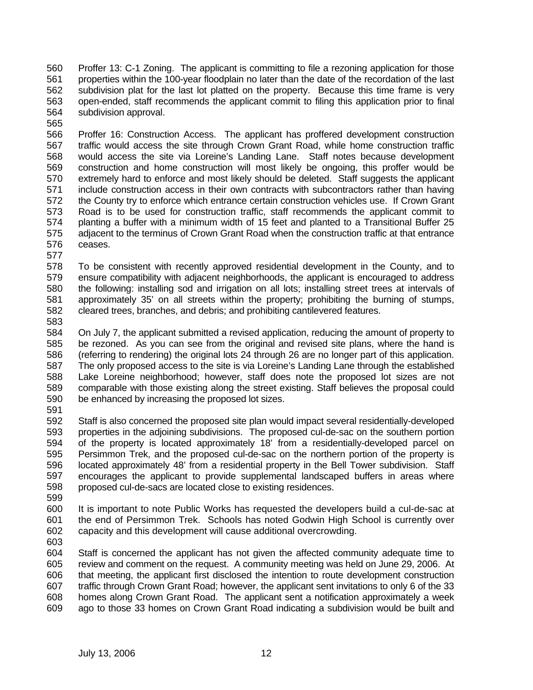560 561 562 563 564 Proffer 13: C-1 Zoning. The applicant is committing to file a rezoning application for those properties within the 100-year floodplain no later than the date of the recordation of the last subdivision plat for the last lot platted on the property. Because this time frame is very open-ended, staff recommends the applicant commit to filing this application prior to final subdivision approval.

565

566 567 568 569 570 571 572 573 574 575 576 Proffer 16: Construction Access. The applicant has proffered development construction traffic would access the site through Crown Grant Road, while home construction traffic would access the site via Loreine's Landing Lane. Staff notes because development construction and home construction will most likely be ongoing, this proffer would be extremely hard to enforce and most likely should be deleted. Staff suggests the applicant include construction access in their own contracts with subcontractors rather than having the County try to enforce which entrance certain construction vehicles use. If Crown Grant Road is to be used for construction traffic, staff recommends the applicant commit to planting a buffer with a minimum width of 15 feet and planted to a Transitional Buffer 25 adjacent to the terminus of Crown Grant Road when the construction traffic at that entrance ceases.

578 579 580 581 582 To be consistent with recently approved residential development in the County, and to ensure compatibility with adjacent neighborhoods, the applicant is encouraged to address the following: installing sod and irrigation on all lots; installing street trees at intervals of approximately 35' on all streets within the property; prohibiting the burning of stumps, cleared trees, branches, and debris; and prohibiting cantilevered features.

583

577

584 585 586 587 588 589 590 On July 7, the applicant submitted a revised application, reducing the amount of property to be rezoned. As you can see from the original and revised site plans, where the hand is (referring to rendering) the original lots 24 through 26 are no longer part of this application. The only proposed access to the site is via Loreine's Landing Lane through the established Lake Loreine neighborhood; however, staff does note the proposed lot sizes are not comparable with those existing along the street existing. Staff believes the proposal could be enhanced by increasing the proposed lot sizes.

591

592 593 594 595 596 597 598 Staff is also concerned the proposed site plan would impact several residentially-developed properties in the adjoining subdivisions. The proposed cul-de-sac on the southern portion of the property is located approximately 18' from a residentially-developed parcel on Persimmon Trek, and the proposed cul-de-sac on the northern portion of the property is located approximately 48' from a residential property in the Bell Tower subdivision. Staff encourages the applicant to provide supplemental landscaped buffers in areas where proposed cul-de-sacs are located close to existing residences.

599

600 601 602 It is important to note Public Works has requested the developers build a cul-de-sac at the end of Persimmon Trek. Schools has noted Godwin High School is currently over capacity and this development will cause additional overcrowding.

603

604 605 606 607 608 609 Staff is concerned the applicant has not given the affected community adequate time to review and comment on the request. A community meeting was held on June 29, 2006. At that meeting, the applicant first disclosed the intention to route development construction traffic through Crown Grant Road; however, the applicant sent invitations to only 6 of the 33 homes along Crown Grant Road. The applicant sent a notification approximately a week ago to those 33 homes on Crown Grant Road indicating a subdivision would be built and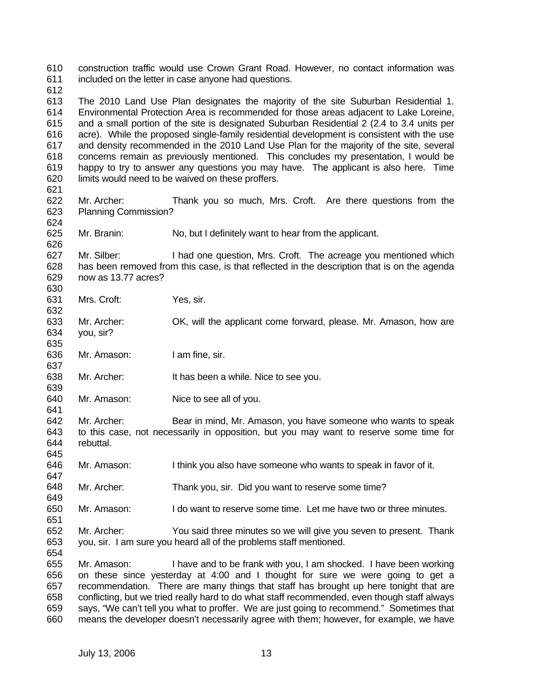610 611 612 613 614 615 616 617 618 619 620 621 622 623 624 625 626 627 628 629 630 631 632 633 634 635 636 637 638 639 640 641 642 643 644 645 646 647 648 649 650 651 652 653 654 655 656 657 658 659 660 construction traffic would use Crown Grant Road. However, no contact information was included on the letter in case anyone had questions. The 2010 Land Use Plan designates the majority of the site Suburban Residential 1. Environmental Protection Area is recommended for those areas adjacent to Lake Loreine, and a small portion of the site is designated Suburban Residential 2 (2.4 to 3.4 units per acre). While the proposed single-family residential development is consistent with the use and density recommended in the 2010 Land Use Plan for the majority of the site, several concerns remain as previously mentioned. This concludes my presentation, I would be happy to try to answer any questions you may have. The applicant is also here. Time limits would need to be waived on these proffers. Mr. Archer: Thank you so much, Mrs. Croft. Are there questions from the Planning Commission? Mr. Branin: No, but I definitely want to hear from the applicant. Mr. Silber: I had one question, Mrs. Croft. The acreage you mentioned which has been removed from this case, is that reflected in the description that is on the agenda now as 13.77 acres? Mrs. Croft: Yes, sir. Mr. Archer: OK, will the applicant come forward, please. Mr. Amason, how are you, sir? Mr. Amason: I am fine, sir. Mr. Archer: It has been a while. Nice to see you. Mr. Amason: Nice to see all of you. Mr. Archer: Bear in mind, Mr. Amason, you have someone who wants to speak to this case, not necessarily in opposition, but you may want to reserve some time for rebuttal. Mr. Amason: I think you also have someone who wants to speak in favor of it. Mr. Archer: Thank you, sir. Did you want to reserve some time? Mr. Amason: I do want to reserve some time. Let me have two or three minutes. Mr. Archer: You said three minutes so we will give you seven to present. Thank you, sir. I am sure you heard all of the problems staff mentioned. Mr. Amason: I have and to be frank with you, I am shocked. I have been working on these since yesterday at 4:00 and I thought for sure we were going to get a recommendation. There are many things that staff has brought up here tonight that are conflicting, but we tried really hard to do what staff recommended, even though staff always says, "We can't tell you what to proffer. We are just going to recommend." Sometimes that means the developer doesn't necessarily agree with them; however, for example, we have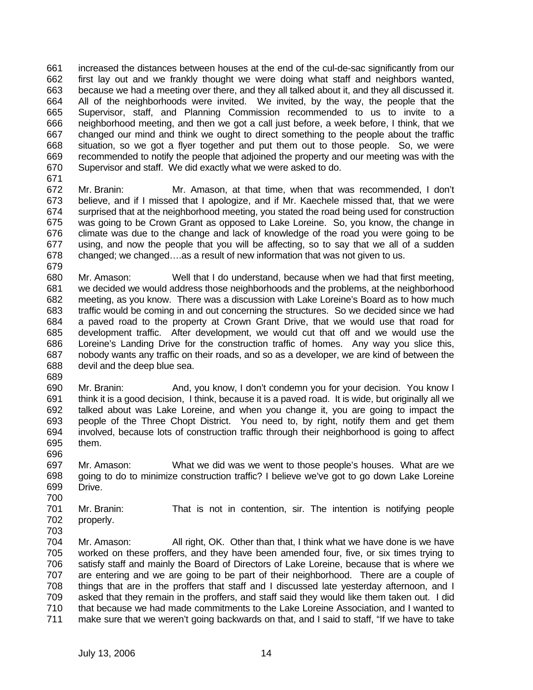661 662 663 664 665 666 667 668 669 670 increased the distances between houses at the end of the cul-de-sac significantly from our first lay out and we frankly thought we were doing what staff and neighbors wanted, because we had a meeting over there, and they all talked about it, and they all discussed it. All of the neighborhoods were invited. We invited, by the way, the people that the Supervisor, staff, and Planning Commission recommended to us to invite to a neighborhood meeting, and then we got a call just before, a week before, I think, that we changed our mind and think we ought to direct something to the people about the traffic situation, so we got a flyer together and put them out to those people. So, we were recommended to notify the people that adjoined the property and our meeting was with the Supervisor and staff. We did exactly what we were asked to do.

671

672 673 674 675 676 677 678 679 Mr. Branin: Mr. Amason, at that time, when that was recommended, I don't believe, and if I missed that I apologize, and if Mr. Kaechele missed that, that we were surprised that at the neighborhood meeting, you stated the road being used for construction was going to be Crown Grant as opposed to Lake Loreine. So, you know, the change in climate was due to the change and lack of knowledge of the road you were going to be using, and now the people that you will be affecting, so to say that we all of a sudden changed; we changed….as a result of new information that was not given to us.

680 681 682 683 684 685 686 687 688 Mr. Amason: Well that I do understand, because when we had that first meeting, we decided we would address those neighborhoods and the problems, at the neighborhood meeting, as you know. There was a discussion with Lake Loreine's Board as to how much traffic would be coming in and out concerning the structures. So we decided since we had a paved road to the property at Crown Grant Drive, that we would use that road for development traffic. After development, we would cut that off and we would use the Loreine's Landing Drive for the construction traffic of homes. Any way you slice this, nobody wants any traffic on their roads, and so as a developer, we are kind of between the devil and the deep blue sea.

689

696

690 691 692 693 694 695 Mr. Branin: And, you know, I don't condemn you for your decision. You know I think it is a good decision, I think, because it is a paved road. It is wide, but originally all we talked about was Lake Loreine, and when you change it, you are going to impact the people of the Three Chopt District. You need to, by right, notify them and get them involved, because lots of construction traffic through their neighborhood is going to affect them.

697 698 699 700 Mr. Amason: What we did was we went to those people's houses. What are we going to do to minimize construction traffic? I believe we've got to go down Lake Loreine Drive.

701 702 Mr. Branin: That is not in contention, sir. The intention is notifying people properly.

703 704 705 706 707 708 709 710 711 Mr. Amason: All right, OK. Other than that, I think what we have done is we have worked on these proffers, and they have been amended four, five, or six times trying to satisfy staff and mainly the Board of Directors of Lake Loreine, because that is where we are entering and we are going to be part of their neighborhood. There are a couple of things that are in the proffers that staff and I discussed late yesterday afternoon, and I asked that they remain in the proffers, and staff said they would like them taken out. I did that because we had made commitments to the Lake Loreine Association, and I wanted to make sure that we weren't going backwards on that, and I said to staff, "If we have to take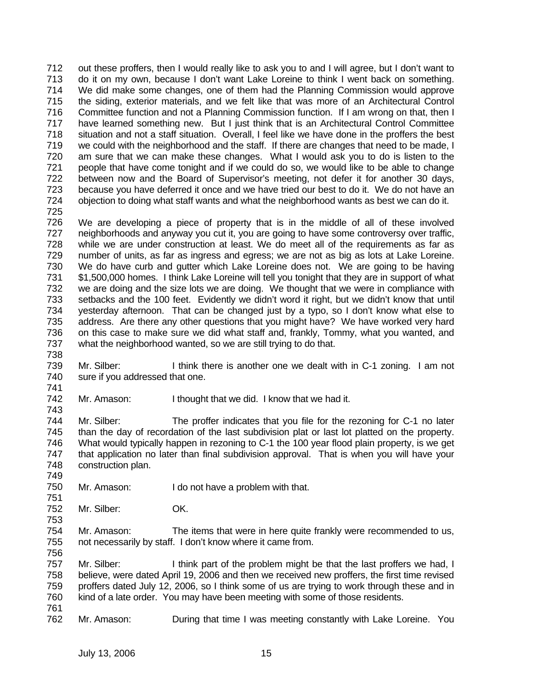712 713 714 715 716 717 718 719 720 721 722 723 724 725 out these proffers, then I would really like to ask you to and I will agree, but I don't want to do it on my own, because I don't want Lake Loreine to think I went back on something. We did make some changes, one of them had the Planning Commission would approve the siding, exterior materials, and we felt like that was more of an Architectural Control Committee function and not a Planning Commission function. If I am wrong on that, then I have learned something new. But I just think that is an Architectural Control Committee situation and not a staff situation. Overall, I feel like we have done in the proffers the best we could with the neighborhood and the staff. If there are changes that need to be made, I am sure that we can make these changes. What I would ask you to do is listen to the people that have come tonight and if we could do so, we would like to be able to change between now and the Board of Supervisor's meeting, not defer it for another 30 days, because you have deferred it once and we have tried our best to do it. We do not have an objection to doing what staff wants and what the neighborhood wants as best we can do it.

726 727 728 729 730 731 732 733 734 735 736 737 We are developing a piece of property that is in the middle of all of these involved neighborhoods and anyway you cut it, you are going to have some controversy over traffic, while we are under construction at least. We do meet all of the requirements as far as number of units, as far as ingress and egress; we are not as big as lots at Lake Loreine. We do have curb and gutter which Lake Loreine does not. We are going to be having \$1,500,000 homes. I think Lake Loreine will tell you tonight that they are in support of what we are doing and the size lots we are doing. We thought that we were in compliance with setbacks and the 100 feet. Evidently we didn't word it right, but we didn't know that until yesterday afternoon. That can be changed just by a typo, so I don't know what else to address. Are there any other questions that you might have? We have worked very hard on this case to make sure we did what staff and, frankly, Tommy, what you wanted, and what the neighborhood wanted, so we are still trying to do that.

- 738 739 740 Mr. Silber: I think there is another one we dealt with in C-1 zoning. I am not sure if you addressed that one.
- 742 Mr. Amason: I thought that we did. I know that we had it.

744 745 746 747 748 Mr. Silber: The proffer indicates that you file for the rezoning for C-1 no later than the day of recordation of the last subdivision plat or last lot platted on the property. What would typically happen in rezoning to C-1 the 100 year flood plain property, is we get that application no later than final subdivision approval. That is when you will have your construction plan.

- 750 Mr. Amason: I do not have a problem with that.
- 752 Mr. Silber: OK.
- 754 755 Mr. Amason: The items that were in here quite frankly were recommended to us, not necessarily by staff. I don't know where it came from.
- 757 758 759 760 Mr. Silber: I think part of the problem might be that the last proffers we had, I believe, were dated April 19, 2006 and then we received new proffers, the first time revised proffers dated July 12, 2006, so I think some of us are trying to work through these and in kind of a late order. You may have been meeting with some of those residents.
- 761

741

743

749

751

753

756

762 Mr. Amason: During that time I was meeting constantly with Lake Loreine. You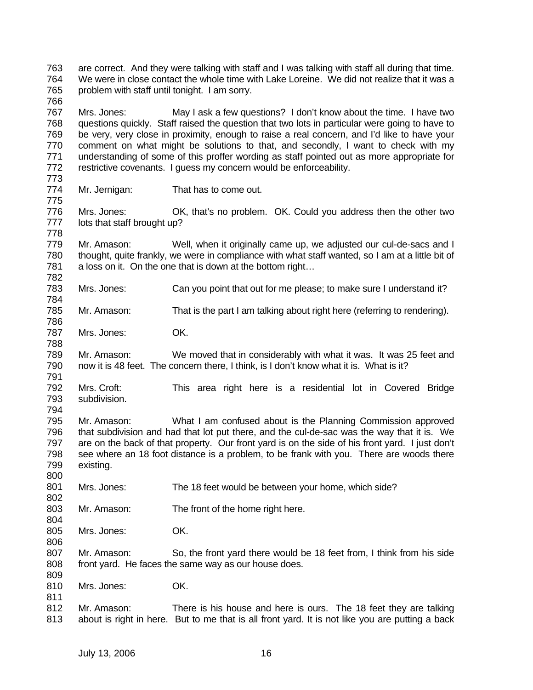763 764 765 766 are correct. And they were talking with staff and I was talking with staff all during that time. We were in close contact the whole time with Lake Loreine. We did not realize that it was a problem with staff until tonight. I am sorry.

767 768 769 770 771 772 Mrs. Jones: May I ask a few questions? I don't know about the time. I have two questions quickly. Staff raised the question that two lots in particular were going to have to be very, very close in proximity, enough to raise a real concern, and I'd like to have your comment on what might be solutions to that, and secondly, I want to check with my understanding of some of this proffer wording as staff pointed out as more appropriate for restrictive covenants. I guess my concern would be enforceability.

774 Mr. Jernigan: That has to come out.

776 777 778 Mrs. Jones: OK, that's no problem. OK. Could you address then the other two lots that staff brought up?

779 780 781 Mr. Amason: Well, when it originally came up, we adjusted our cul-de-sacs and I thought, quite frankly, we were in compliance with what staff wanted, so I am at a little bit of a loss on it. On the one that is down at the bottom right…

783 Mrs. Jones: Can you point that out for me please; to make sure I understand it?

785 Mr. Amason: That is the part I am talking about right here (referring to rendering).

787 Mrs. Jones: OK.

773

775

782

784

786

788

791

794

800

802

804

806

811

789 790 Mr. Amason: We moved that in considerably with what it was. It was 25 feet and now it is 48 feet. The concern there, I think, is I don't know what it is. What is it?

792 793 Mrs. Croft: This area right here is a residential lot in Covered Bridge subdivision.

795 796 797 798 799 Mr. Amason: What I am confused about is the Planning Commission approved that subdivision and had that lot put there, and the cul-de-sac was the way that it is. We are on the back of that property. Our front yard is on the side of his front yard. I just don't see where an 18 foot distance is a problem, to be frank with you. There are woods there existing.

801 Mrs. Jones: The 18 feet would be between your home, which side?

- 803 Mr. Amason: The front of the home right here.
- 805 Mrs. Jones: OK.

807 808 809 Mr. Amason: So, the front yard there would be 18 feet from, I think from his side front yard. He faces the same way as our house does.

810 Mrs. Jones: OK.

812 813 Mr. Amason: There is his house and here is ours. The 18 feet they are talking about is right in here. But to me that is all front yard. It is not like you are putting a back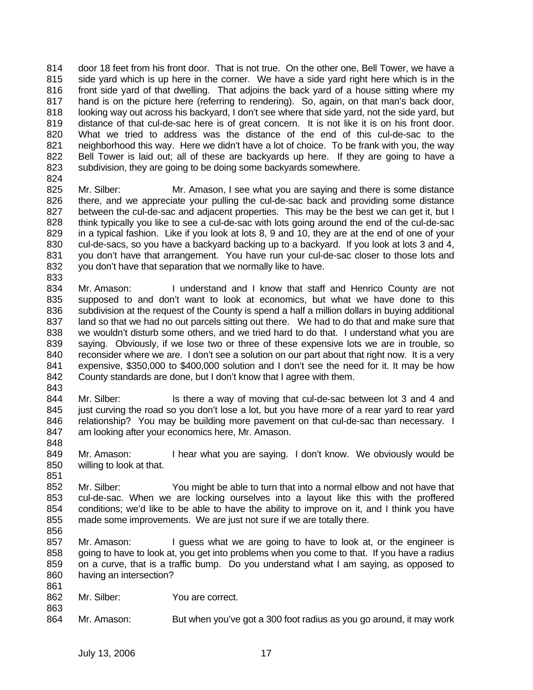814 815 816 817 818 819 820 821 822 823 824 door 18 feet from his front door. That is not true. On the other one, Bell Tower, we have a side yard which is up here in the corner. We have a side yard right here which is in the front side yard of that dwelling. That adjoins the back yard of a house sitting where my hand is on the picture here (referring to rendering). So, again, on that man's back door, looking way out across his backyard, I don't see where that side yard, not the side yard, but distance of that cul-de-sac here is of great concern. It is not like it is on his front door. What we tried to address was the distance of the end of this cul-de-sac to the neighborhood this way. Here we didn't have a lot of choice. To be frank with you, the way Bell Tower is laid out; all of these are backyards up here. If they are going to have a subdivision, they are going to be doing some backyards somewhere.

- 825 826 827 828 829 830 831 832 Mr. Silber: Mr. Amason, I see what you are saying and there is some distance there, and we appreciate your pulling the cul-de-sac back and providing some distance between the cul-de-sac and adjacent properties. This may be the best we can get it, but I think typically you like to see a cul-de-sac with lots going around the end of the cul-de-sac in a typical fashion. Like if you look at lots 8, 9 and 10, they are at the end of one of your cul-de-sacs, so you have a backyard backing up to a backyard. If you look at lots 3 and 4, you don't have that arrangement. You have run your cul-de-sac closer to those lots and you don't have that separation that we normally like to have.
- 834 835 836 837 838 839 840 841 842 Mr. Amason: I understand and I know that staff and Henrico County are not supposed to and don't want to look at economics, but what we have done to this subdivision at the request of the County is spend a half a million dollars in buying additional land so that we had no out parcels sitting out there. We had to do that and make sure that we wouldn't disturb some others, and we tried hard to do that. I understand what you are saying. Obviously, if we lose two or three of these expensive lots we are in trouble, so reconsider where we are. I don't see a solution on our part about that right now. It is a very expensive, \$350,000 to \$400,000 solution and I don't see the need for it. It may be how County standards are done, but I don't know that I agree with them.
- 843 844 845 846 847 Mr. Silber: Is there a way of moving that cul-de-sac between lot 3 and 4 and just curving the road so you don't lose a lot, but you have more of a rear yard to rear yard relationship? You may be building more pavement on that cul-de-sac than necessary. I am looking after your economics here, Mr. Amason.
- 849 850 Mr. Amason: I hear what you are saying. I don't know. We obviously would be willing to look at that.
- 852 853 854 855 856 Mr. Silber: You might be able to turn that into a normal elbow and not have that cul-de-sac. When we are locking ourselves into a layout like this with the proffered conditions; we'd like to be able to have the ability to improve on it, and I think you have made some improvements. We are just not sure if we are totally there.
- 857 858 859 860 861 Mr. Amason: I guess what we are going to have to look at, or the engineer is going to have to look at, you get into problems when you come to that. If you have a radius on a curve, that is a traffic bump. Do you understand what I am saying, as opposed to having an intersection?
- 862 Mr. Silber: You are correct.
- 864 Mr. Amason: But when you've got a 300 foot radius as you go around, it may work

833

848

851

863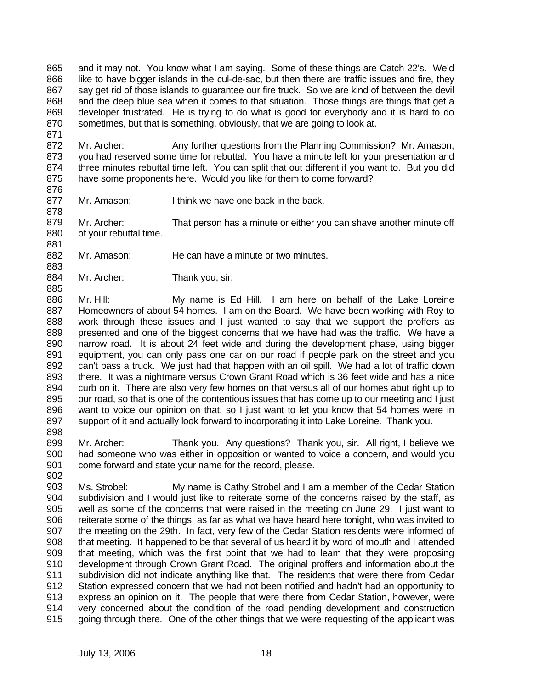865 866 867 868 869 870 and it may not. You know what I am saying. Some of these things are Catch 22's. We'd like to have bigger islands in the cul-de-sac, but then there are traffic issues and fire, they say get rid of those islands to guarantee our fire truck. So we are kind of between the devil and the deep blue sea when it comes to that situation. Those things are things that get a developer frustrated. He is trying to do what is good for everybody and it is hard to do sometimes, but that is something, obviously, that we are going to look at.

872 873 874 875 Mr. Archer: Any further questions from the Planning Commission? Mr. Amason, you had reserved some time for rebuttal. You have a minute left for your presentation and three minutes rebuttal time left. You can split that out different if you want to. But you did have some proponents here. Would you like for them to come forward?

876

883

885

902

871

877 878 Mr. Amason: I think we have one back in the back.

879 880 881 Mr. Archer: That person has a minute or either you can shave another minute off of your rebuttal time.

- 882 Mr. Amason: He can have a minute or two minutes.
- 884 Mr. Archer: Thank you, sir.

886 887 888 889 890 891 892 893 894 895 896 897 898 Mr. Hill: My name is Ed Hill. I am here on behalf of the Lake Loreine Homeowners of about 54 homes. I am on the Board. We have been working with Roy to work through these issues and I just wanted to say that we support the proffers as presented and one of the biggest concerns that we have had was the traffic. We have a narrow road. It is about 24 feet wide and during the development phase, using bigger equipment, you can only pass one car on our road if people park on the street and you can't pass a truck. We just had that happen with an oil spill. We had a lot of traffic down there. It was a nightmare versus Crown Grant Road which is 36 feet wide and has a nice curb on it. There are also very few homes on that versus all of our homes abut right up to our road, so that is one of the contentious issues that has come up to our meeting and I just want to voice our opinion on that, so I just want to let you know that 54 homes were in support of it and actually look forward to incorporating it into Lake Loreine. Thank you.

899 900 901 Mr. Archer: Thank you. Any questions? Thank you, sir. All right, I believe we had someone who was either in opposition or wanted to voice a concern, and would you come forward and state your name for the record, please.

903 904 905 906 907 908 909 910 911 912 913 914 915 Ms. Strobel: My name is Cathy Strobel and I am a member of the Cedar Station subdivision and I would just like to reiterate some of the concerns raised by the staff, as well as some of the concerns that were raised in the meeting on June 29. I just want to reiterate some of the things, as far as what we have heard here tonight, who was invited to the meeting on the 29th. In fact, very few of the Cedar Station residents were informed of that meeting. It happened to be that several of us heard it by word of mouth and I attended that meeting, which was the first point that we had to learn that they were proposing development through Crown Grant Road. The original proffers and information about the subdivision did not indicate anything like that. The residents that were there from Cedar Station expressed concern that we had not been notified and hadn't had an opportunity to express an opinion on it. The people that were there from Cedar Station, however, were very concerned about the condition of the road pending development and construction going through there. One of the other things that we were requesting of the applicant was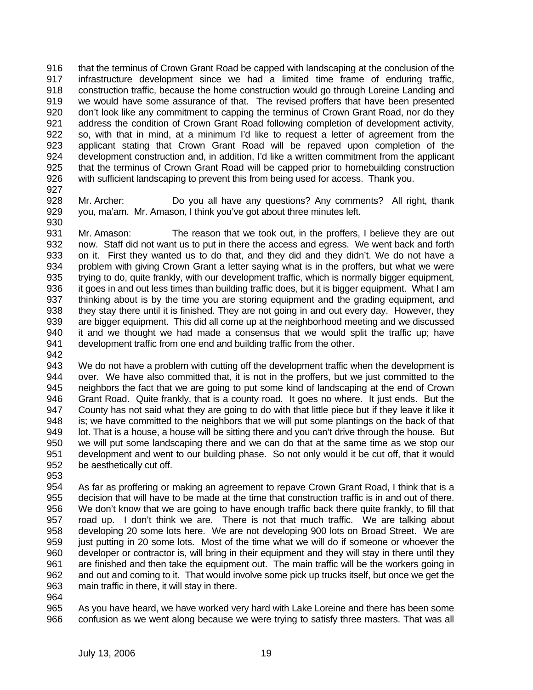916 917 918 919 920 921 922 923 924 925 926 that the terminus of Crown Grant Road be capped with landscaping at the conclusion of the infrastructure development since we had a limited time frame of enduring traffic, construction traffic, because the home construction would go through Loreine Landing and we would have some assurance of that. The revised proffers that have been presented don't look like any commitment to capping the terminus of Crown Grant Road, nor do they address the condition of Crown Grant Road following completion of development activity, so, with that in mind, at a minimum I'd like to request a letter of agreement from the applicant stating that Crown Grant Road will be repaved upon completion of the development construction and, in addition, I'd like a written commitment from the applicant that the terminus of Crown Grant Road will be capped prior to homebuilding construction with sufficient landscaping to prevent this from being used for access. Thank you.

- 927
- 928 929 930 Mr. Archer: Do you all have any questions? Any comments? All right, thank you, ma'am. Mr. Amason, I think you've got about three minutes left.

931 932 933 934 935 936 937 938 939 940 941 Mr. Amason: The reason that we took out, in the proffers, I believe they are out now. Staff did not want us to put in there the access and egress. We went back and forth on it. First they wanted us to do that, and they did and they didn't. We do not have a problem with giving Crown Grant a letter saying what is in the proffers, but what we were trying to do, quite frankly, with our development traffic, which is normally bigger equipment, it goes in and out less times than building traffic does, but it is bigger equipment. What I am thinking about is by the time you are storing equipment and the grading equipment, and they stay there until it is finished. They are not going in and out every day. However, they are bigger equipment. This did all come up at the neighborhood meeting and we discussed it and we thought we had made a consensus that we would split the traffic up; have development traffic from one end and building traffic from the other.

942

943 944 945 946 947 948 949 950 951 952 We do not have a problem with cutting off the development traffic when the development is over. We have also committed that, it is not in the proffers, but we just committed to the neighbors the fact that we are going to put some kind of landscaping at the end of Crown Grant Road. Quite frankly, that is a county road. It goes no where. It just ends. But the County has not said what they are going to do with that little piece but if they leave it like it is; we have committed to the neighbors that we will put some plantings on the back of that lot. That is a house, a house will be sitting there and you can't drive through the house. But we will put some landscaping there and we can do that at the same time as we stop our development and went to our building phase. So not only would it be cut off, that it would be aesthetically cut off.

953

954 955 956 957 958 959 960 961 962 963 As far as proffering or making an agreement to repave Crown Grant Road, I think that is a decision that will have to be made at the time that construction traffic is in and out of there. We don't know that we are going to have enough traffic back there quite frankly, to fill that road up. I don't think we are. There is not that much traffic. We are talking about developing 20 some lots here. We are not developing 900 lots on Broad Street. We are just putting in 20 some lots. Most of the time what we will do if someone or whoever the developer or contractor is, will bring in their equipment and they will stay in there until they are finished and then take the equipment out. The main traffic will be the workers going in and out and coming to it. That would involve some pick up trucks itself, but once we get the main traffic in there, it will stay in there.

964

965 966 As you have heard, we have worked very hard with Lake Loreine and there has been some confusion as we went along because we were trying to satisfy three masters. That was all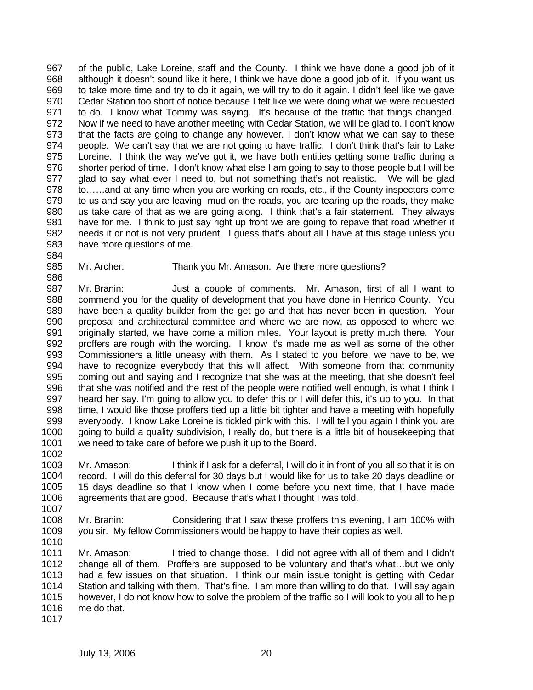967 968 969 970 971 972 973 974 975 976 977 978 979 980 981 982 983 of the public, Lake Loreine, staff and the County. I think we have done a good job of it although it doesn't sound like it here, I think we have done a good job of it. If you want us to take more time and try to do it again, we will try to do it again. I didn't feel like we gave Cedar Station too short of notice because I felt like we were doing what we were requested to do. I know what Tommy was saying. It's because of the traffic that things changed. Now if we need to have another meeting with Cedar Station, we will be glad to. I don't know that the facts are going to change any however. I don't know what we can say to these people. We can't say that we are not going to have traffic. I don't think that's fair to Lake Loreine. I think the way we've got it, we have both entities getting some traffic during a shorter period of time. I don't know what else I am going to say to those people but I will be glad to say what ever I need to, but not something that's not realistic. We will be glad to……and at any time when you are working on roads, etc., if the County inspectors come to us and say you are leaving mud on the roads, you are tearing up the roads, they make us take care of that as we are going along. I think that's a fair statement. They always have for me. I think to just say right up front we are going to repave that road whether it needs it or not is not very prudent. I guess that's about all I have at this stage unless you have more questions of me.

985 Mr. Archer: Thank you Mr. Amason. Are there more questions?

986 987 988 989 990 991 992 993 994 995 996 997 998 999 1000 1001 Mr. Branin: Just a couple of comments. Mr. Amason, first of all I want to commend you for the quality of development that you have done in Henrico County. You have been a quality builder from the get go and that has never been in question. Your proposal and architectural committee and where we are now, as opposed to where we originally started, we have come a million miles. Your layout is pretty much there. Your proffers are rough with the wording. I know it's made me as well as some of the other Commissioners a little uneasy with them. As I stated to you before, we have to be, we have to recognize everybody that this will affect. With someone from that community coming out and saying and I recognize that she was at the meeting, that she doesn't feel that she was notified and the rest of the people were notified well enough, is what I think I heard her say. I'm going to allow you to defer this or I will defer this, it's up to you. In that time, I would like those proffers tied up a little bit tighter and have a meeting with hopefully everybody. I know Lake Loreine is tickled pink with this. I will tell you again I think you are going to build a quality subdivision, I really do, but there is a little bit of housekeeping that we need to take care of before we push it up to the Board.

- 1003 1004 1005 1006 1007 Mr. Amason: I think if I ask for a deferral, I will do it in front of you all so that it is on record. I will do this deferral for 30 days but I would like for us to take 20 days deadline or 15 days deadline so that I know when I come before you next time, that I have made agreements that are good. Because that's what I thought I was told.
- 1008 1009 Mr. Branin: Considering that I saw these proffers this evening, I am 100% with you sir. My fellow Commissioners would be happy to have their copies as well.
- 1011 1012 1013 1014 1015 1016 Mr. Amason: I tried to change those. I did not agree with all of them and I didn't change all of them. Proffers are supposed to be voluntary and that's what…but we only had a few issues on that situation. I think our main issue tonight is getting with Cedar Station and talking with them. That's fine. I am more than willing to do that. I will say again however, I do not know how to solve the problem of the traffic so I will look to you all to help me do that.

1010

1002

984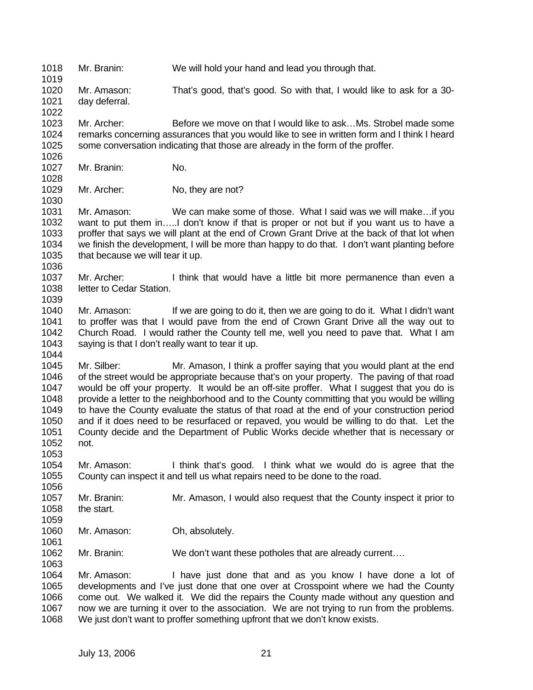1018 1019 Mr. Branin: We will hold your hand and lead you through that.

1020 1021 Mr. Amason: That's good, that's good. So with that, I would like to ask for a 30 day deferral.

1023 1024 1025 Mr. Archer: Before we move on that I would like to ask…Ms. Strobel made some remarks concerning assurances that you would like to see in written form and I think I heard some conversation indicating that those are already in the form of the proffer.

1027 Mr. Branin: No.

1022

1026

1028

1030

1036

1039

1044

1029 Mr. Archer: No, they are not?

1031 1032 1033 1034 1035 Mr. Amason: We can make some of those. What I said was we will make…if you want to put them in…..I don't know if that is proper or not but if you want us to have a proffer that says we will plant at the end of Crown Grant Drive at the back of that lot when we finish the development, I will be more than happy to do that. I don't want planting before that because we will tear it up.

1037 1038 Mr. Archer: I think that would have a little bit more permanence than even a letter to Cedar Station.

1040 1041 1042 1043 Mr. Amason: If we are going to do it, then we are going to do it. What I didn't want to proffer was that I would pave from the end of Crown Grant Drive all the way out to Church Road. I would rather the County tell me, well you need to pave that. What I am saying is that I don't really want to tear it up.

1045 1046 1047 1048 1049 1050 1051 1052 Mr. Silber: Mr. Amason, I think a proffer saying that you would plant at the end of the street would be appropriate because that's on your property. The paving of that road would be off your property. It would be an off-site proffer. What I suggest that you do is provide a letter to the neighborhood and to the County committing that you would be willing to have the County evaluate the status of that road at the end of your construction period and if it does need to be resurfaced or repaved, you would be willing to do that. Let the County decide and the Department of Public Works decide whether that is necessary or not.

- 1054 1055 1056 Mr. Amason: I think that's good. I think what we would do is agree that the County can inspect it and tell us what repairs need to be done to the road.
- 1057 1058 Mr. Branin: Mr. Amason, I would also request that the County inspect it prior to the start.
- 1059

1061

1063

1053

- 1060 Mr. Amason: Oh, absolutely.
- 1062 Mr. Branin: We don't want these potholes that are already current....

1064 1065 1066 1067 1068 Mr. Amason: I have just done that and as you know I have done a lot of developments and I've just done that one over at Crosspoint where we had the County come out. We walked it. We did the repairs the County made without any question and now we are turning it over to the association. We are not trying to run from the problems. We just don't want to proffer something upfront that we don't know exists.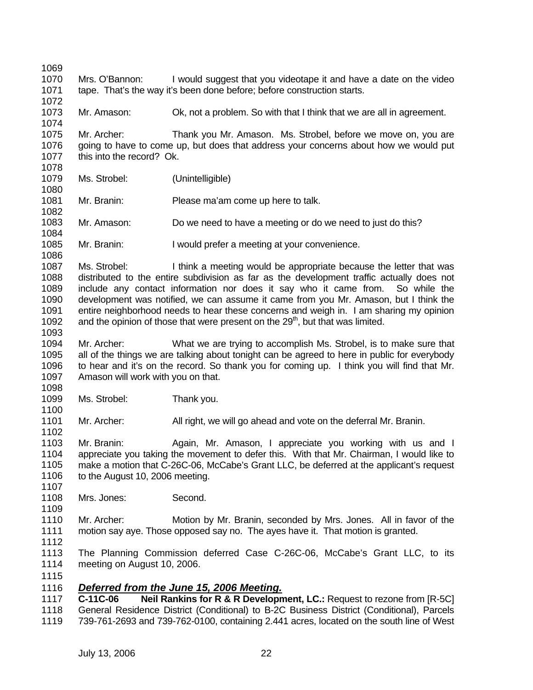1069 1070 1071 1072 1073 1074 1075 1076 1077 1078 1079 1080 1081 1082 1083 1084 1085 1086 1087 1088 1089 1090 1091 1092 1093 1094 1095 1096 1097 1098 1099 1100 1101 1102 1103 1104 1105 1106 1107 1108 1109 1110 1111 1112 1113 1114 1115 Mrs. O'Bannon: I would suggest that you videotape it and have a date on the video tape. That's the way it's been done before; before construction starts. Mr. Amason: Ok, not a problem. So with that I think that we are all in agreement. Mr. Archer: Thank you Mr. Amason. Ms. Strobel, before we move on, you are going to have to come up, but does that address your concerns about how we would put this into the record? Ok. Ms. Strobel: (Unintelligible) Mr. Branin: Please ma'am come up here to talk. Mr. Amason: Do we need to have a meeting or do we need to just do this? Mr. Branin: I would prefer a meeting at your convenience. Ms. Strobel: I think a meeting would be appropriate because the letter that was distributed to the entire subdivision as far as the development traffic actually does not include any contact information nor does it say who it came from. So while the development was notified, we can assume it came from you Mr. Amason, but I think the entire neighborhood needs to hear these concerns and weigh in. I am sharing my opinion and the opinion of those that were present on the  $29<sup>th</sup>$ , but that was limited. Mr. Archer: What we are trying to accomplish Ms. Strobel, is to make sure that all of the things we are talking about tonight can be agreed to here in public for everybody to hear and it's on the record. So thank you for coming up. I think you will find that Mr. Amason will work with you on that. Ms. Strobel: Thank you. Mr. Archer: All right, we will go ahead and vote on the deferral Mr. Branin. Mr. Branin: Again, Mr. Amason, I appreciate you working with us and I appreciate you taking the movement to defer this. With that Mr. Chairman, I would like to make a motion that C-26C-06, McCabe's Grant LLC, be deferred at the applicant's request to the August 10, 2006 meeting. Mrs. Jones: Second. Mr. Archer: Motion by Mr. Branin, seconded by Mrs. Jones. All in favor of the motion say aye. Those opposed say no. The ayes have it. That motion is granted. The Planning Commission deferred Case C-26C-06, McCabe's Grant LLC, to its meeting on August 10, 2006. 1116 *Deferred from the June 15, 2006 Meeting.* 1117 1118 1119 **C-11C-06 Neil Rankins for R & R Development, LC.:** Request to rezone from [R-5C] General Residence District (Conditional) to B-2C Business District (Conditional), Parcels 739-761-2693 and 739-762-0100, containing 2.441 acres, located on the south line of West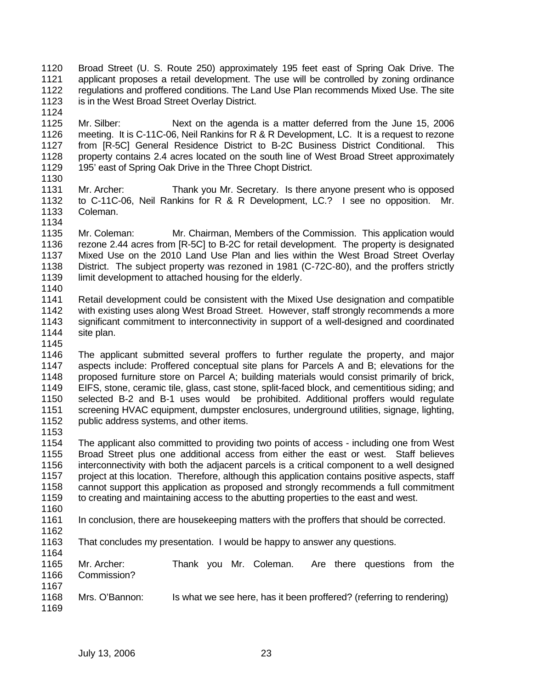- 1120 1121 1122 1123 Broad Street (U. S. Route 250) approximately 195 feet east of Spring Oak Drive. The applicant proposes a retail development. The use will be controlled by zoning ordinance regulations and proffered conditions. The Land Use Plan recommends Mixed Use. The site is in the West Broad Street Overlay District.
- 1125 1126 1127 1128 1129 Mr. Silber: Next on the agenda is a matter deferred from the June 15, 2006 meeting. It is C-11C-06, Neil Rankins for R & R Development, LC. It is a request to rezone from [R-5C] General Residence District to B-2C Business District Conditional. This property contains 2.4 acres located on the south line of West Broad Street approximately 195' east of Spring Oak Drive in the Three Chopt District.
- 1130

1124

- 1131 1132 1133 1134 Mr. Archer: Thank you Mr. Secretary. Is there anyone present who is opposed to C-11C-06, Neil Rankins for R & R Development, LC.? I see no opposition. Mr. Coleman.
- 1135 1136 1137 1138 1139 Mr. Coleman: Mr. Chairman, Members of the Commission. This application would rezone 2.44 acres from [R-5C] to B-2C for retail development. The property is designated Mixed Use on the 2010 Land Use Plan and lies within the West Broad Street Overlay District. The subject property was rezoned in 1981 (C-72C-80), and the proffers strictly limit development to attached housing for the elderly.
- 1140
- 1141 1142 1143 1144 Retail development could be consistent with the Mixed Use designation and compatible with existing uses along West Broad Street. However, staff strongly recommends a more significant commitment to interconnectivity in support of a well-designed and coordinated site plan.
- 1145
- 1146 1147 1148 1149 1150 1151 1152 The applicant submitted several proffers to further regulate the property, and major aspects include: Proffered conceptual site plans for Parcels A and B; elevations for the proposed furniture store on Parcel A; building materials would consist primarily of brick, EIFS, stone, ceramic tile, glass, cast stone, split-faced block, and cementitious siding; and selected B-2 and B-1 uses would be prohibited. Additional proffers would regulate screening HVAC equipment, dumpster enclosures, underground utilities, signage, lighting, public address systems, and other items.
- 1153

1154 1155 1156 1157 1158 1159 The applicant also committed to providing two points of access - including one from West Broad Street plus one additional access from either the east or west. Staff believes interconnectivity with both the adjacent parcels is a critical component to a well designed project at this location. Therefore, although this application contains positive aspects, staff cannot support this application as proposed and strongly recommends a full commitment to creating and maintaining access to the abutting properties to the east and west.

- 1160
- 1161 In conclusion, there are housekeeping matters with the proffers that should be corrected.
- 1162
- 
- 1163 1164 That concludes my presentation. I would be happy to answer any questions.
- 1165 1166 1167 Mr. Archer: Thank you Mr. Coleman. Are there questions from the Commission?
- 1168 1169 Mrs. O'Bannon: Is what we see here, has it been proffered? (referring to rendering)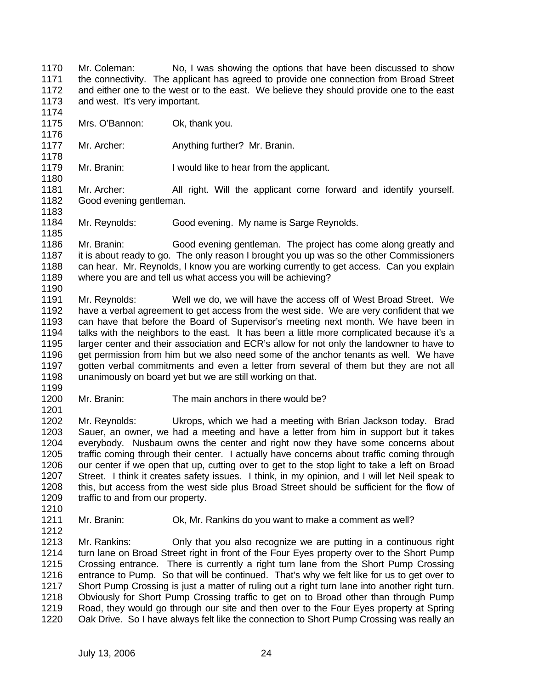1170 1171 1172 1173 1174 Mr. Coleman: No, I was showing the options that have been discussed to show the connectivity. The applicant has agreed to provide one connection from Broad Street and either one to the west or to the east. We believe they should provide one to the east and west. It's very important.

- 1175 Mrs. O'Bannon: Ok, thank you.
- 1177 Mr. Archer: Anything further? Mr. Branin.
- 1179 Mr. Branin: I would like to hear from the applicant.
- 1181 1182 Mr. Archer: All right. Will the applicant come forward and identify yourself. Good evening gentleman.
- 1184 Mr. Reynolds: Good evening. My name is Sarge Reynolds.

1186 1187 1188 1189 Mr. Branin: Good evening gentleman. The project has come along greatly and it is about ready to go. The only reason I brought you up was so the other Commissioners can hear. Mr. Reynolds, I know you are working currently to get access. Can you explain where you are and tell us what access you will be achieving?

1191 1192 1193 1194 1195 1196 1197 1198 Mr. Reynolds: Well we do, we will have the access off of West Broad Street. We have a verbal agreement to get access from the west side. We are very confident that we can have that before the Board of Supervisor's meeting next month. We have been in talks with the neighbors to the east. It has been a little more complicated because it's a larger center and their association and ECR's allow for not only the landowner to have to get permission from him but we also need some of the anchor tenants as well. We have gotten verbal commitments and even a letter from several of them but they are not all unanimously on board yet but we are still working on that.

1200 Mr. Branin: The main anchors in there would be?

1202 1203 1204 1205 1206 1207 1208 1209 Mr. Reynolds: Ukrops, which we had a meeting with Brian Jackson today. Brad Sauer, an owner, we had a meeting and have a letter from him in support but it takes everybody. Nusbaum owns the center and right now they have some concerns about traffic coming through their center. I actually have concerns about traffic coming through our center if we open that up, cutting over to get to the stop light to take a left on Broad Street. I think it creates safety issues. I think, in my opinion, and I will let Neil speak to this, but access from the west side plus Broad Street should be sufficient for the flow of traffic to and from our property.

1210 1211

1176

1178

1180

1183

1185

1190

1199

1201

- Mr. Branin: Ok, Mr. Rankins do you want to make a comment as well?
- 1212
- 

1213 1214 1215 1216 1217 1218 1219 1220 Mr. Rankins: Only that you also recognize we are putting in a continuous right turn lane on Broad Street right in front of the Four Eyes property over to the Short Pump Crossing entrance. There is currently a right turn lane from the Short Pump Crossing entrance to Pump. So that will be continued. That's why we felt like for us to get over to Short Pump Crossing is just a matter of ruling out a right turn lane into another right turn. Obviously for Short Pump Crossing traffic to get on to Broad other than through Pump Road, they would go through our site and then over to the Four Eyes property at Spring Oak Drive. So I have always felt like the connection to Short Pump Crossing was really an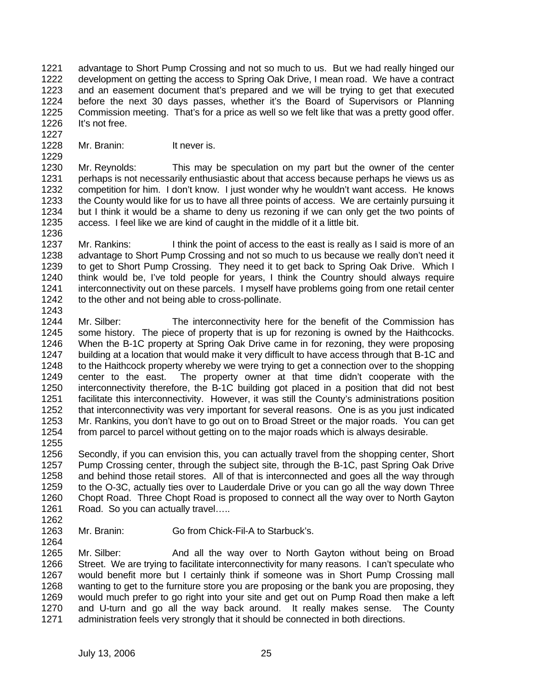1221 1222 1223 1224 1225 1226 advantage to Short Pump Crossing and not so much to us. But we had really hinged our development on getting the access to Spring Oak Drive, I mean road. We have a contract and an easement document that's prepared and we will be trying to get that executed before the next 30 days passes, whether it's the Board of Supervisors or Planning Commission meeting. That's for a price as well so we felt like that was a pretty good offer. It's not free.

1227 1228

1229

Mr. Branin: It never is.

1230 1231 1232 1233 1234 1235 Mr. Reynolds: This may be speculation on my part but the owner of the center perhaps is not necessarily enthusiastic about that access because perhaps he views us as competition for him. I don't know. I just wonder why he wouldn't want access. He knows the County would like for us to have all three points of access. We are certainly pursuing it but I think it would be a shame to deny us rezoning if we can only get the two points of access. I feel like we are kind of caught in the middle of it a little bit.

- 1236 1237 1238 1239 1240 1241 1242 1243 Mr. Rankins: I think the point of access to the east is really as I said is more of an advantage to Short Pump Crossing and not so much to us because we really don't need it to get to Short Pump Crossing. They need it to get back to Spring Oak Drive. Which I think would be, I've told people for years, I think the Country should always require interconnectivity out on these parcels. I myself have problems going from one retail center to the other and not being able to cross-pollinate.
- 1244 1245 1246 1247 1248 1249 1250 1251 1252 1253 1254 Mr. Silber: The interconnectivity here for the benefit of the Commission has some history. The piece of property that is up for rezoning is owned by the Haithcocks. When the B-1C property at Spring Oak Drive came in for rezoning, they were proposing building at a location that would make it very difficult to have access through that B-1C and to the Haithcock property whereby we were trying to get a connection over to the shopping center to the east. The property owner at that time didn't cooperate with the interconnectivity therefore, the B-1C building got placed in a position that did not best facilitate this interconnectivity. However, it was still the County's administrations position that interconnectivity was very important for several reasons. One is as you just indicated Mr. Rankins, you don't have to go out on to Broad Street or the major roads. You can get from parcel to parcel without getting on to the major roads which is always desirable.

1256 1257 1258 1259 1260 1261 Secondly, if you can envision this, you can actually travel from the shopping center, Short Pump Crossing center, through the subject site, through the B-1C, past Spring Oak Drive and behind those retail stores. All of that is interconnected and goes all the way through to the O-3C, actually ties over to Lauderdale Drive or you can go all the way down Three Chopt Road. Three Chopt Road is proposed to connect all the way over to North Gayton Road. So you can actually travel…..

1262

1264

1255

1263 Mr. Branin: Go from Chick-Fil-A to Starbuck's.

1265 1266 1267 1268 1269 1270 1271 Mr. Silber: And all the way over to North Gayton without being on Broad Street. We are trying to facilitate interconnectivity for many reasons. I can't speculate who would benefit more but I certainly think if someone was in Short Pump Crossing mall wanting to get to the furniture store you are proposing or the bank you are proposing, they would much prefer to go right into your site and get out on Pump Road then make a left and U-turn and go all the way back around. It really makes sense. The County administration feels very strongly that it should be connected in both directions.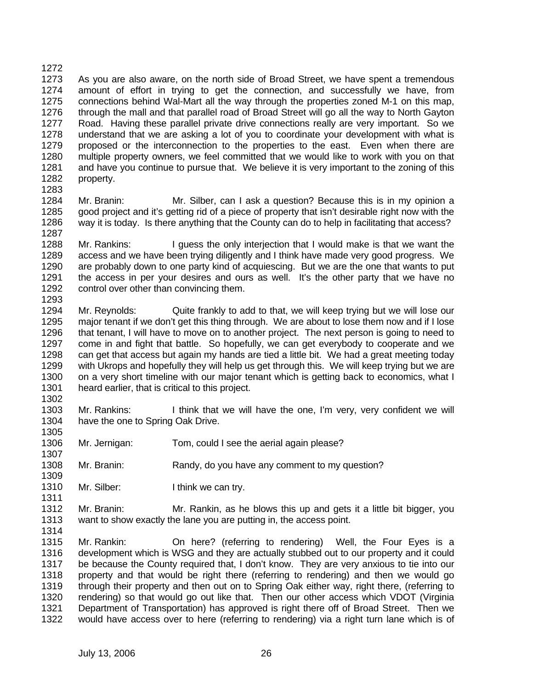1272 1273 1274 1275 1276 1277 1278 1279 1280 1281 1282 As you are also aware, on the north side of Broad Street, we have spent a tremendous amount of effort in trying to get the connection, and successfully we have, from connections behind Wal-Mart all the way through the properties zoned M-1 on this map, through the mall and that parallel road of Broad Street will go all the way to North Gayton Road. Having these parallel private drive connections really are very important. So we understand that we are asking a lot of you to coordinate your development with what is proposed or the interconnection to the properties to the east. Even when there are multiple property owners, we feel committed that we would like to work with you on that and have you continue to pursue that. We believe it is very important to the zoning of this property.

1283

1307

1309

1311

1284 1285 1286 1287 Mr. Branin: Mr. Silber, can I ask a question? Because this is in my opinion a good project and it's getting rid of a piece of property that isn't desirable right now with the way it is today. Is there anything that the County can do to help in facilitating that access?

1288 1289 1290 1291 1292 1293 Mr. Rankins: I guess the only interjection that I would make is that we want the access and we have been trying diligently and I think have made very good progress. We are probably down to one party kind of acquiescing. But we are the one that wants to put the access in per your desires and ours as well. It's the other party that we have no control over other than convincing them.

1294 1295 1296 1297 1298 1299 1300 1301 1302 Mr. Reynolds: Quite frankly to add to that, we will keep trying but we will lose our major tenant if we don't get this thing through. We are about to lose them now and if I lose that tenant, I will have to move on to another project. The next person is going to need to come in and fight that battle. So hopefully, we can get everybody to cooperate and we can get that access but again my hands are tied a little bit. We had a great meeting today with Ukrops and hopefully they will help us get through this. We will keep trying but we are on a very short timeline with our major tenant which is getting back to economics, what I heard earlier, that is critical to this project.

1303 1304 1305 Mr. Rankins: I think that we will have the one, I'm very, very confident we will have the one to Spring Oak Drive.

- 1306 Mr. Jernigan: Tom, could I see the aerial again please?
- 1308 Mr. Branin: Randy, do you have any comment to my question?
- 1310 Mr. Silber: I think we can try.

1312 1313 1314 Mr. Branin: Mr. Rankin, as he blows this up and gets it a little bit bigger, you want to show exactly the lane you are putting in, the access point.

1315 1316 1317 1318 1319 1320 1321 1322 Mr. Rankin: On here? (referring to rendering) Well, the Four Eyes is a development which is WSG and they are actually stubbed out to our property and it could be because the County required that, I don't know. They are very anxious to tie into our property and that would be right there (referring to rendering) and then we would go through their property and then out on to Spring Oak either way, right there, (referring to rendering) so that would go out like that. Then our other access which VDOT (Virginia Department of Transportation) has approved is right there off of Broad Street. Then we would have access over to here (referring to rendering) via a right turn lane which is of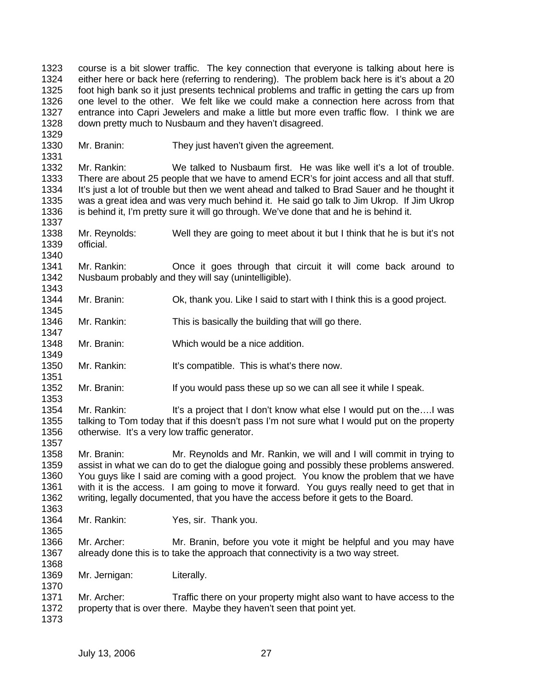1323 1324 1325 1326 1327 1328 1329 1330 1331 1332 1333 course is a bit slower traffic. The key connection that everyone is talking about here is either here or back here (referring to rendering). The problem back here is it's about a 20 foot high bank so it just presents technical problems and traffic in getting the cars up from one level to the other. We felt like we could make a connection here across from that entrance into Capri Jewelers and make a little but more even traffic flow. I think we are down pretty much to Nusbaum and they haven't disagreed. Mr. Branin: They just haven't given the agreement. Mr. Rankin: We talked to Nusbaum first. He was like well it's a lot of trouble. There are about 25 people that we have to amend ECR's for joint access and all that stuff.

1334 1335 1336 It's just a lot of trouble but then we went ahead and talked to Brad Sauer and he thought it was a great idea and was very much behind it. He said go talk to Jim Ukrop. If Jim Ukrop is behind it, I'm pretty sure it will go through. We've done that and he is behind it.

1338 1339 1340 Mr. Reynolds: Well they are going to meet about it but I think that he is but it's not official.

1341 1342 Mr. Rankin: Once it goes through that circuit it will come back around to Nusbaum probably and they will say (unintelligible).

1344 1345 Mr. Branin: Ok, thank you. Like I said to start with I think this is a good project.

1346 1347 Mr. Rankin: This is basically the building that will go there.

1348 Mr. Branin: Which would be a nice addition.

1350 Mr. Rankin: It's compatible. This is what's there now.

1352 1353 Mr. Branin: If you would pass these up so we can all see it while I speak.

1354 1355 1356 Mr. Rankin: It's a project that I don't know what else I would put on the....I was talking to Tom today that if this doesn't pass I'm not sure what I would put on the property otherwise. It's a very low traffic generator.

1358 1359 1360 1361 1362 Mr. Branin: Mr. Reynolds and Mr. Rankin, we will and I will commit in trying to assist in what we can do to get the dialogue going and possibly these problems answered. You guys like I said are coming with a good project. You know the problem that we have with it is the access. I am going to move it forward. You guys really need to get that in writing, legally documented, that you have the access before it gets to the Board.

1364 Mr. Rankin: Yes, sir. Thank you.

1366 1367 Mr. Archer: Mr. Branin, before you vote it might be helpful and you may have already done this is to take the approach that connectivity is a two way street.

1369 Mr. Jernigan: Literally.

1371 1372 Mr. Archer: Traffic there on your property might also want to have access to the property that is over there. Maybe they haven't seen that point yet.

1373

1337

1343

1349

1351

1357

1363

1365

1368

1370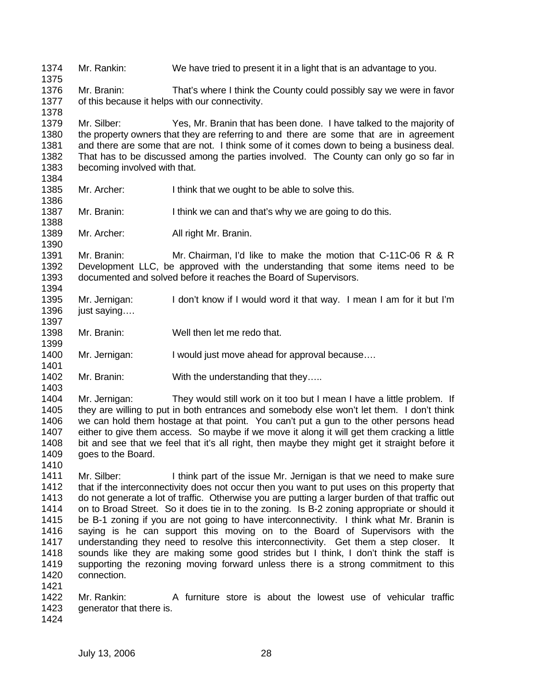1374 1375 1376 1377 1378 1379 1380 1381 1382 1383 1384 1385 1386 1387 1388 1389 1390 1391 1392 1393 1394 1395 1396 1397 1398 1399 1400 1401 1402 1403 1404 1405 1406 1407 1408 1409 1410 1411 1412 1413 1414 1415 1416 1417 1418 1419 1420 1421 1422 1423 1424 Mr. Rankin: We have tried to present it in a light that is an advantage to you. Mr. Branin: That's where I think the County could possibly say we were in favor of this because it helps with our connectivity. Mr. Silber: Yes, Mr. Branin that has been done. I have talked to the majority of the property owners that they are referring to and there are some that are in agreement and there are some that are not. I think some of it comes down to being a business deal. That has to be discussed among the parties involved. The County can only go so far in becoming involved with that. Mr. Archer: I think that we ought to be able to solve this. Mr. Branin: I think we can and that's why we are going to do this. Mr. Archer: All right Mr. Branin. Mr. Branin: Mr. Chairman, I'd like to make the motion that C-11C-06 R & R Development LLC, be approved with the understanding that some items need to be documented and solved before it reaches the Board of Supervisors. Mr. Jernigan: I don't know if I would word it that way. I mean I am for it but I'm just saying…. Mr. Branin: Well then let me redo that. Mr. Jernigan: I would just move ahead for approval because.... Mr. Branin: With the understanding that they..... Mr. Jernigan: They would still work on it too but I mean I have a little problem. If they are willing to put in both entrances and somebody else won't let them. I don't think we can hold them hostage at that point. You can't put a gun to the other persons head either to give them access. So maybe if we move it along it will get them cracking a little bit and see that we feel that it's all right, then maybe they might get it straight before it goes to the Board. Mr. Silber: I think part of the issue Mr. Jernigan is that we need to make sure that if the interconnectivity does not occur then you want to put uses on this property that do not generate a lot of traffic. Otherwise you are putting a larger burden of that traffic out on to Broad Street. So it does tie in to the zoning. Is B-2 zoning appropriate or should it be B-1 zoning if you are not going to have interconnectivity. I think what Mr. Branin is saying is he can support this moving on to the Board of Supervisors with the understanding they need to resolve this interconnectivity. Get them a step closer. It sounds like they are making some good strides but I think, I don't think the staff is supporting the rezoning moving forward unless there is a strong commitment to this connection. Mr. Rankin: A furniture store is about the lowest use of vehicular traffic generator that there is.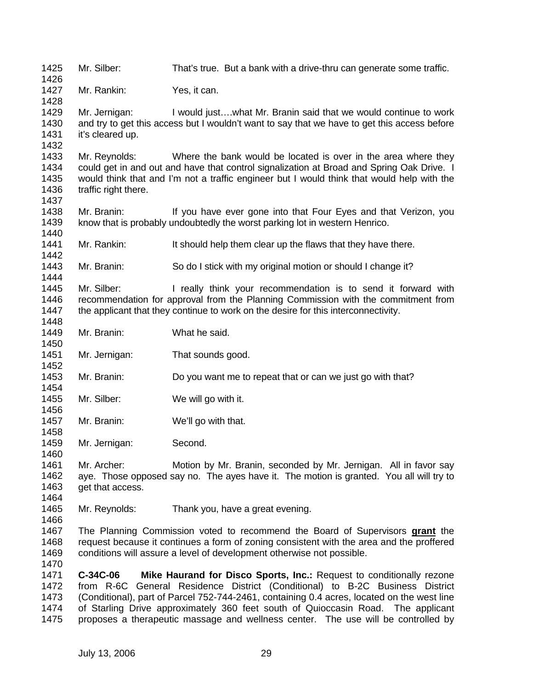1425 1426 1427 1428 1429 1430 1431 1432 1433 1434 1435 1436 1437 1438 1439 1440 1441 1442 1443 1444 1445 1446 1447 1448 1449 1450 1451 1452 1453 1454 1455 1456 1457 1458 1459 1460 1461 1462 1463 1464 1465 1466 Mr. Silber: That's true. But a bank with a drive-thru can generate some traffic. Mr. Rankin: Yes, it can. Mr. Jernigan: I would just….what Mr. Branin said that we would continue to work and try to get this access but I wouldn't want to say that we have to get this access before it's cleared up. Mr. Reynolds: Where the bank would be located is over in the area where they could get in and out and have that control signalization at Broad and Spring Oak Drive. I would think that and I'm not a traffic engineer but I would think that would help with the traffic right there. Mr. Branin: If you have ever gone into that Four Eyes and that Verizon, you know that is probably undoubtedly the worst parking lot in western Henrico. Mr. Rankin: It should help them clear up the flaws that they have there. Mr. Branin: So do I stick with my original motion or should I change it? Mr. Silber: I really think your recommendation is to send it forward with recommendation for approval from the Planning Commission with the commitment from the applicant that they continue to work on the desire for this interconnectivity. Mr. Branin: What he said. Mr. Jernigan: That sounds good. Mr. Branin: Do you want me to repeat that or can we just go with that? Mr. Silber: We will go with it. Mr. Branin: We'll go with that. Mr. Jernigan: Second. Mr. Archer: Motion by Mr. Branin, seconded by Mr. Jernigan. All in favor say aye. Those opposed say no. The ayes have it. The motion is granted. You all will try to get that access. Mr. Reynolds: Thank you, have a great evening. The Planning Commission voted to recommend the Board of Supervisors **grant** the request because it continues a form of zoning consistent with the area and the proffered conditions will assure a level of development otherwise not possible. 1467 1468 1469 1470 1471 1472 1473 1474 1475 **C-34C-06 Mike Haurand for Disco Sports, Inc.:** Request to conditionally rezone from R-6C General Residence District (Conditional) to B-2C Business District (Conditional), part of Parcel 752-744-2461, containing 0.4 acres, located on the west line of Starling Drive approximately 360 feet south of Quioccasin Road. The applicant proposes a therapeutic massage and wellness center. The use will be controlled by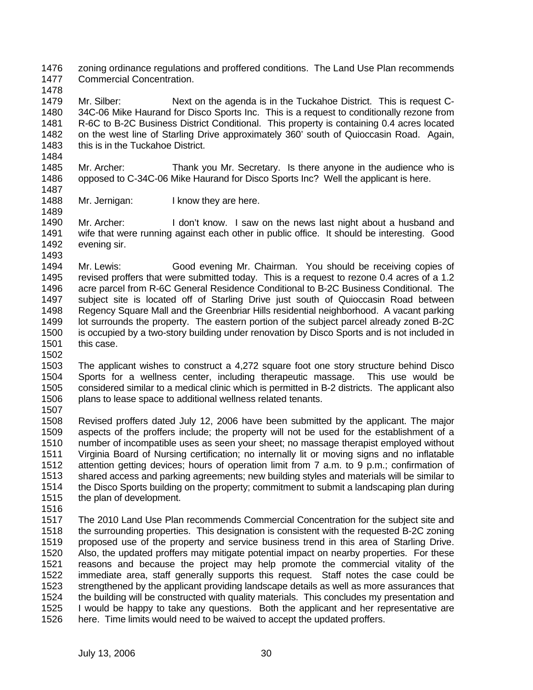1476 1477 zoning ordinance regulations and proffered conditions. The Land Use Plan recommends Commercial Concentration.

1478

1484

1489

1479 1480 1481 1482 1483 Mr. Silber: Next on the agenda is in the Tuckahoe District. This is request C-34C-06 Mike Haurand for Disco Sports Inc. This is a request to conditionally rezone from R-6C to B-2C Business District Conditional. This property is containing 0.4 acres located on the west line of Starling Drive approximately 360' south of Quioccasin Road. Again, this is in the Tuckahoe District.

- 1485 1486 Mr. Archer: Thank you Mr. Secretary. Is there anyone in the audience who is opposed to C-34C-06 Mike Haurand for Disco Sports Inc? Well the applicant is here.
- 1487 1488 Mr. Jernigan: I know they are here.

1490 1491 1492 1493 Mr. Archer: I don't know. I saw on the news last night about a husband and wife that were running against each other in public office. It should be interesting. Good evening sir.

1494 1495 1496 1497 1498 1499 1500 1501 1502 Mr. Lewis: Good evening Mr. Chairman. You should be receiving copies of revised proffers that were submitted today. This is a request to rezone 0.4 acres of a 1.2 acre parcel from R-6C General Residence Conditional to B-2C Business Conditional. The subject site is located off of Starling Drive just south of Quioccasin Road between Regency Square Mall and the Greenbriar Hills residential neighborhood. A vacant parking lot surrounds the property. The eastern portion of the subject parcel already zoned B-2C is occupied by a two-story building under renovation by Disco Sports and is not included in this case.

- 1503 1504 1505 1506 1507 The applicant wishes to construct a 4,272 square foot one story structure behind Disco Sports for a wellness center, including therapeutic massage. This use would be considered similar to a medical clinic which is permitted in B-2 districts. The applicant also plans to lease space to additional wellness related tenants.
- 1508 1509 1510 1511 1512 1513 1514 1515 Revised proffers dated July 12, 2006 have been submitted by the applicant. The major aspects of the proffers include; the property will not be used for the establishment of a number of incompatible uses as seen your sheet; no massage therapist employed without Virginia Board of Nursing certification; no internally lit or moving signs and no inflatable attention getting devices; hours of operation limit from 7 a.m. to 9 p.m.; confirmation of shared access and parking agreements; new building styles and materials will be similar to the Disco Sports building on the property; commitment to submit a landscaping plan during the plan of development.
- 1516

1517 1518 1519 1520 1521 1522 1523 1524 1525 1526 The 2010 Land Use Plan recommends Commercial Concentration for the subject site and the surrounding properties. This designation is consistent with the requested B-2C zoning proposed use of the property and service business trend in this area of Starling Drive. Also, the updated proffers may mitigate potential impact on nearby properties. For these reasons and because the project may help promote the commercial vitality of the immediate area, staff generally supports this request. Staff notes the case could be strengthened by the applicant providing landscape details as well as more assurances that the building will be constructed with quality materials. This concludes my presentation and I would be happy to take any questions. Both the applicant and her representative are here. Time limits would need to be waived to accept the updated proffers.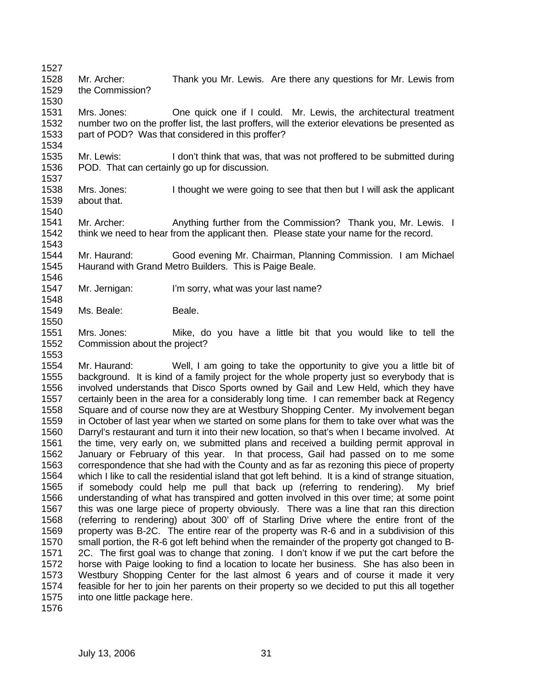1527 1528 1529 Mr. Archer: Thank you Mr. Lewis. Are there any questions for Mr. Lewis from the Commission?

1531 1532 1533 Mrs. Jones: One quick one if I could. Mr. Lewis, the architectural treatment number two on the proffer list, the last proffers, will the exterior elevations be presented as part of POD? Was that considered in this proffer?

1535 1536 1537 Mr. Lewis: I don't think that was, that was not proffered to be submitted during POD. That can certainly go up for discussion.

1538 1539 1540 Mrs. Jones: I thought we were going to see that then but I will ask the applicant about that.

1541 1542 1543 Mr. Archer: Anything further from the Commission? Thank you, Mr. Lewis. I think we need to hear from the applicant then. Please state your name for the record.

1544 1545 Mr. Haurand: Good evening Mr. Chairman, Planning Commission. I am Michael Haurand with Grand Metro Builders. This is Paige Beale.

- 1547 Mr. Jernigan: I'm sorry, what was your last name?
- 1549 Ms. Beale: Beale.
- 1551 1552 Mrs. Jones: Mike, do you have a little bit that you would like to tell the Commission about the project?

1554 1555 1556 1557 1558 1559 1560 1561 1562 1563 1564 1565 1566 1567 1568 1569 1570 1571 1572 1573 1574 1575 Mr. Haurand: Well, I am going to take the opportunity to give you a little bit of background. It is kind of a family project for the whole property just so everybody that is involved understands that Disco Sports owned by Gail and Lew Held, which they have certainly been in the area for a considerably long time. I can remember back at Regency Square and of course now they are at Westbury Shopping Center. My involvement began in October of last year when we started on some plans for them to take over what was the Darryl's restaurant and turn it into their new location, so that's when I became involved. At the time, very early on, we submitted plans and received a building permit approval in January or February of this year. In that process, Gail had passed on to me some correspondence that she had with the County and as far as rezoning this piece of property which I like to call the residential island that got left behind. It is a kind of strange situation, if somebody could help me pull that back up (referring to rendering). My brief understanding of what has transpired and gotten involved in this over time; at some point this was one large piece of property obviously. There was a line that ran this direction (referring to rendering) about 300' off of Starling Drive where the entire front of the property was B-2C. The entire rear of the property was R-6 and in a subdivision of this small portion, the R-6 got left behind when the remainder of the property got changed to B-2C. The first goal was to change that zoning. I don't know if we put the cart before the horse with Paige looking to find a location to locate her business. She has also been in Westbury Shopping Center for the last almost 6 years and of course it made it very feasible for her to join her parents on their property so we decided to put this all together into one little package here.

1576

1530

1534

1546

1548

1550

1553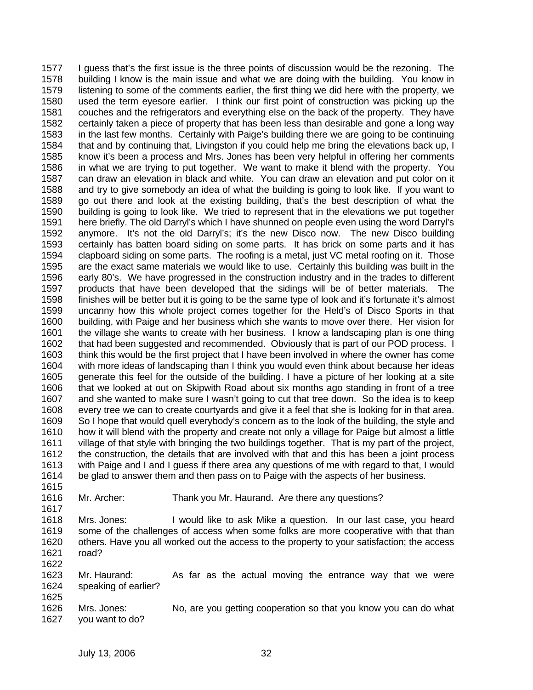1577 1578 1579 1580 1581 1582 1583 1584 1585 1586 1587 1588 1589 1590 1591 1592 1593 1594 1595 1596 1597 1598 1599 1600 1601 1602 1603 1604 1605 1606 1607 1608 1609 1610 1611 1612 1613 1614 1615 I guess that's the first issue is the three points of discussion would be the rezoning. The building I know is the main issue and what we are doing with the building. You know in listening to some of the comments earlier, the first thing we did here with the property, we used the term eyesore earlier. I think our first point of construction was picking up the couches and the refrigerators and everything else on the back of the property. They have certainly taken a piece of property that has been less than desirable and gone a long way in the last few months. Certainly with Paige's building there we are going to be continuing that and by continuing that, Livingston if you could help me bring the elevations back up, I know it's been a process and Mrs. Jones has been very helpful in offering her comments in what we are trying to put together. We want to make it blend with the property. You can draw an elevation in black and white. You can draw an elevation and put color on it and try to give somebody an idea of what the building is going to look like. If you want to go out there and look at the existing building, that's the best description of what the building is going to look like. We tried to represent that in the elevations we put together here briefly. The old Darryl's which I have shunned on people even using the word Darryl's anymore. It's not the old Darryl's; it's the new Disco now. The new Disco building certainly has batten board siding on some parts. It has brick on some parts and it has clapboard siding on some parts. The roofing is a metal, just VC metal roofing on it. Those are the exact same materials we would like to use. Certainly this building was built in the early 80's. We have progressed in the construction industry and in the trades to different products that have been developed that the sidings will be of better materials. The finishes will be better but it is going to be the same type of look and it's fortunate it's almost uncanny how this whole project comes together for the Held's of Disco Sports in that building, with Paige and her business which she wants to move over there. Her vision for the village she wants to create with her business. I know a landscaping plan is one thing that had been suggested and recommended. Obviously that is part of our POD process. I think this would be the first project that I have been involved in where the owner has come with more ideas of landscaping than I think you would even think about because her ideas generate this feel for the outside of the building. I have a picture of her looking at a site that we looked at out on Skipwith Road about six months ago standing in front of a tree and she wanted to make sure I wasn't going to cut that tree down. So the idea is to keep every tree we can to create courtyards and give it a feel that she is looking for in that area. So I hope that would quell everybody's concern as to the look of the building, the style and how it will blend with the property and create not only a village for Paige but almost a little village of that style with bringing the two buildings together. That is my part of the project, the construction, the details that are involved with that and this has been a joint process with Paige and I and I guess if there area any questions of me with regard to that, I would be glad to answer them and then pass on to Paige with the aspects of her business.

1616

Mr. Archer: Thank you Mr. Haurand. Are there any questions?

1618 1619 1620 1621 Mrs. Jones: I would like to ask Mike a question. In our last case, you heard some of the challenges of access when some folks are more cooperative with that than others. Have you all worked out the access to the property to your satisfaction; the access road?

1622

1617

1623 1624 1625 Mr. Haurand: As far as the actual moving the entrance way that we were speaking of earlier?

1626 1627 Mrs. Jones: No, are you getting cooperation so that you know you can do what you want to do?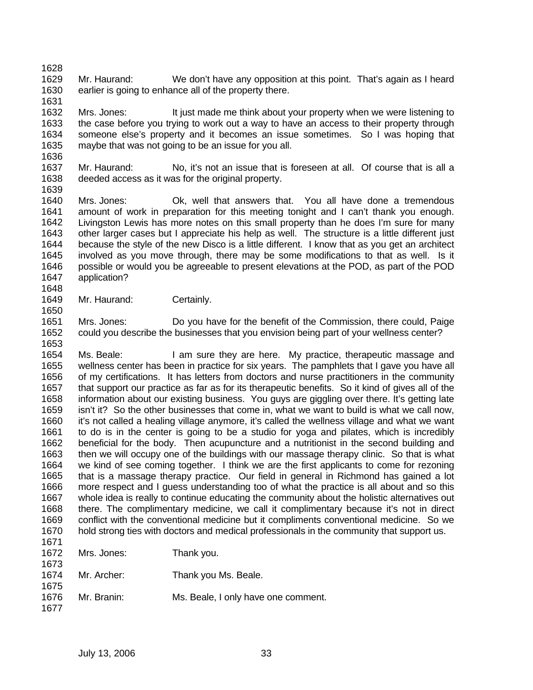1628 1629 1630 Mr. Haurand: We don't have any opposition at this point. That's again as I heard earlier is going to enhance all of the property there.

1632 1633 1634 1635 Mrs. Jones: It just made me think about your property when we were listening to the case before you trying to work out a way to have an access to their property through someone else's property and it becomes an issue sometimes. So I was hoping that maybe that was not going to be an issue for you all.

1637 1638 Mr. Haurand: No, it's not an issue that is foreseen at all. Of course that is all a deeded access as it was for the original property.

1639

1636

1631

1640 1641 1642 1643 1644 1645 1646 1647 Mrs. Jones: Ok, well that answers that. You all have done a tremendous amount of work in preparation for this meeting tonight and I can't thank you enough. Livingston Lewis has more notes on this small property than he does I'm sure for many other larger cases but I appreciate his help as well. The structure is a little different just because the style of the new Disco is a little different. I know that as you get an architect involved as you move through, there may be some modifications to that as well. Is it possible or would you be agreeable to present elevations at the POD, as part of the POD application?

1648 1649

1650

Mr. Haurand: Certainly.

1651 1652 1653 Mrs. Jones: Do you have for the benefit of the Commission, there could, Paige could you describe the businesses that you envision being part of your wellness center?

1654 1655 1656 1657 1658 1659 1660 1661 1662 1663 1664 1665 1666 1667 1668 1669 1670 1671 Ms. Beale: I am sure they are here. My practice, therapeutic massage and wellness center has been in practice for six years. The pamphlets that I gave you have all of my certifications. It has letters from doctors and nurse practitioners in the community that support our practice as far as for its therapeutic benefits. So it kind of gives all of the information about our existing business. You guys are giggling over there. It's getting late isn't it? So the other businesses that come in, what we want to build is what we call now, it's not called a healing village anymore, it's called the wellness village and what we want to do is in the center is going to be a studio for yoga and pilates, which is incredibly beneficial for the body. Then acupuncture and a nutritionist in the second building and then we will occupy one of the buildings with our massage therapy clinic. So that is what we kind of see coming together. I think we are the first applicants to come for rezoning that is a massage therapy practice. Our field in general in Richmond has gained a lot more respect and I guess understanding too of what the practice is all about and so this whole idea is really to continue educating the community about the holistic alternatives out there. The complimentary medicine, we call it complimentary because it's not in direct conflict with the conventional medicine but it compliments conventional medicine. So we hold strong ties with doctors and medical professionals in the community that support us.

| 107 L |                  |                                     |
|-------|------------------|-------------------------------------|
| 1672  | Mrs. Jones:      | Thank you.                          |
| 1673  |                  |                                     |
|       | 1674 Mr. Archer: | Thank you Ms. Beale.                |
| 1675  |                  |                                     |
| 1676  | Mr. Branin:      | Ms. Beale, I only have one comment. |
| 1677  |                  |                                     |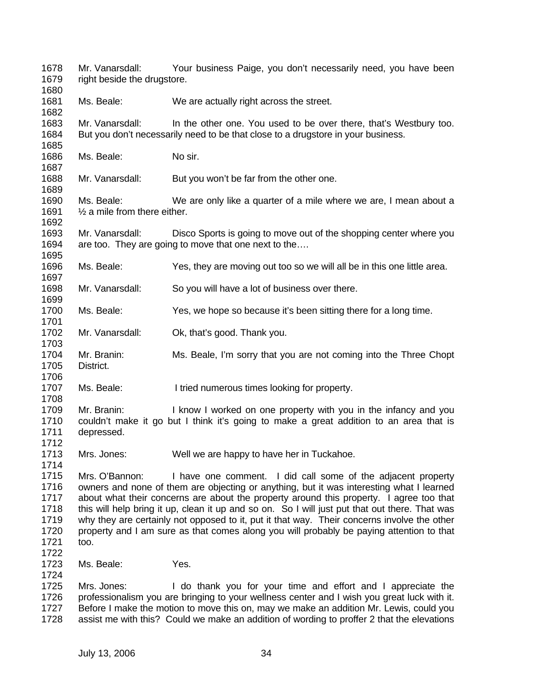| 1678<br>1679                                         | Mr. Vanarsdall:<br>Your business Paige, you don't necessarily need, you have been<br>right beside the drugstore.                                                                                                                                                                                                                                                                                                                                                                                                                                                           |                                                                                                                                                                                                                                                                                                                                                     |  |  |
|------------------------------------------------------|----------------------------------------------------------------------------------------------------------------------------------------------------------------------------------------------------------------------------------------------------------------------------------------------------------------------------------------------------------------------------------------------------------------------------------------------------------------------------------------------------------------------------------------------------------------------------|-----------------------------------------------------------------------------------------------------------------------------------------------------------------------------------------------------------------------------------------------------------------------------------------------------------------------------------------------------|--|--|
| 1680<br>1681<br>1682                                 | Ms. Beale:                                                                                                                                                                                                                                                                                                                                                                                                                                                                                                                                                                 | We are actually right across the street.                                                                                                                                                                                                                                                                                                            |  |  |
| 1683<br>1684                                         | Mr. Vanarsdall:                                                                                                                                                                                                                                                                                                                                                                                                                                                                                                                                                            | In the other one. You used to be over there, that's Westbury too.<br>But you don't necessarily need to be that close to a drugstore in your business.                                                                                                                                                                                               |  |  |
| 1685<br>1686<br>1687                                 | Ms. Beale:                                                                                                                                                                                                                                                                                                                                                                                                                                                                                                                                                                 | No sir.                                                                                                                                                                                                                                                                                                                                             |  |  |
| 1688<br>1689                                         | Mr. Vanarsdall:                                                                                                                                                                                                                                                                                                                                                                                                                                                                                                                                                            | But you won't be far from the other one.                                                                                                                                                                                                                                                                                                            |  |  |
| 1690<br>1691<br>1692                                 | Ms. Beale:<br>We are only like a quarter of a mile where we are, I mean about a<br>$\frac{1}{2}$ a mile from there either.                                                                                                                                                                                                                                                                                                                                                                                                                                                 |                                                                                                                                                                                                                                                                                                                                                     |  |  |
| 1693<br>1694<br>1695                                 | Mr. Vanarsdall:<br>Disco Sports is going to move out of the shopping center where you<br>are too. They are going to move that one next to the                                                                                                                                                                                                                                                                                                                                                                                                                              |                                                                                                                                                                                                                                                                                                                                                     |  |  |
| 1696<br>1697                                         | Ms. Beale:                                                                                                                                                                                                                                                                                                                                                                                                                                                                                                                                                                 | Yes, they are moving out too so we will all be in this one little area.                                                                                                                                                                                                                                                                             |  |  |
| 1698<br>1699                                         | Mr. Vanarsdall:                                                                                                                                                                                                                                                                                                                                                                                                                                                                                                                                                            | So you will have a lot of business over there.                                                                                                                                                                                                                                                                                                      |  |  |
| 1700<br>1701                                         | Ms. Beale:                                                                                                                                                                                                                                                                                                                                                                                                                                                                                                                                                                 | Yes, we hope so because it's been sitting there for a long time.                                                                                                                                                                                                                                                                                    |  |  |
| 1702<br>1703                                         | Mr. Vanarsdall:                                                                                                                                                                                                                                                                                                                                                                                                                                                                                                                                                            | Ok, that's good. Thank you.                                                                                                                                                                                                                                                                                                                         |  |  |
| 1704<br>1705<br>1706                                 | Mr. Branin:<br>District.                                                                                                                                                                                                                                                                                                                                                                                                                                                                                                                                                   | Ms. Beale, I'm sorry that you are not coming into the Three Chopt                                                                                                                                                                                                                                                                                   |  |  |
| 1707<br>1708                                         | Ms. Beale:                                                                                                                                                                                                                                                                                                                                                                                                                                                                                                                                                                 | I tried numerous times looking for property.                                                                                                                                                                                                                                                                                                        |  |  |
| 1709<br>1710<br>1711<br>1712                         | Mr. Branin:<br>I know I worked on one property with you in the infancy and you<br>couldn't make it go but I think it's going to make a great addition to an area that is<br>depressed.                                                                                                                                                                                                                                                                                                                                                                                     |                                                                                                                                                                                                                                                                                                                                                     |  |  |
| 1713<br>1714                                         | Mrs. Jones:                                                                                                                                                                                                                                                                                                                                                                                                                                                                                                                                                                | Well we are happy to have her in Tuckahoe.                                                                                                                                                                                                                                                                                                          |  |  |
| 1715<br>1716<br>1717<br>1718<br>1719<br>1720<br>1721 | Mrs. O'Bannon:<br>I have one comment. I did call some of the adjacent property<br>owners and none of them are objecting or anything, but it was interesting what I learned<br>about what their concerns are about the property around this property. I agree too that<br>this will help bring it up, clean it up and so on. So I will just put that out there. That was<br>why they are certainly not opposed to it, put it that way. Their concerns involve the other<br>property and I am sure as that comes along you will probably be paying attention to that<br>too. |                                                                                                                                                                                                                                                                                                                                                     |  |  |
| 1722<br>1723<br>1724                                 | Ms. Beale:                                                                                                                                                                                                                                                                                                                                                                                                                                                                                                                                                                 | Yes.                                                                                                                                                                                                                                                                                                                                                |  |  |
| 1725<br>1726<br>1727<br>1728                         | Mrs. Jones:                                                                                                                                                                                                                                                                                                                                                                                                                                                                                                                                                                | I do thank you for your time and effort and I appreciate the<br>professionalism you are bringing to your wellness center and I wish you great luck with it.<br>Before I make the motion to move this on, may we make an addition Mr. Lewis, could you<br>assist me with this? Could we make an addition of wording to proffer 2 that the elevations |  |  |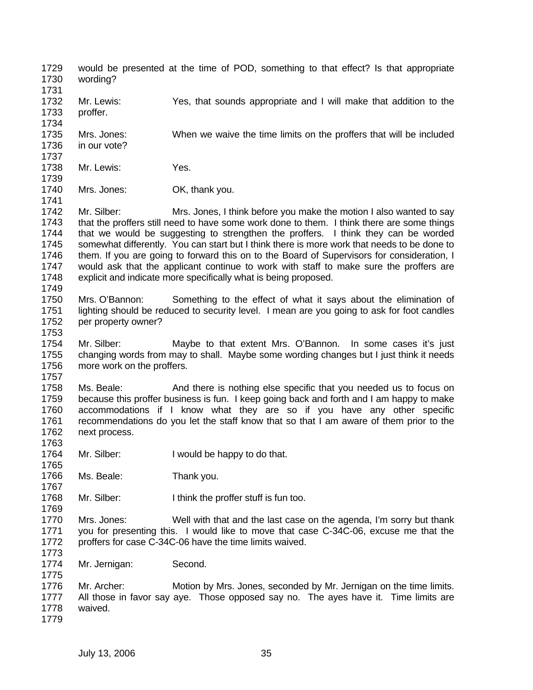- 1729 1730 would be presented at the time of POD, something to that effect? Is that appropriate wording?
- 1731 1732 1733 Mr. Lewis: Yes, that sounds appropriate and I will make that addition to the proffer.
- 1735 Mrs. Jones: When we waive the time limits on the proffers that will be included
- 1736 1737 in our vote?

1734

1741

- 1738 1739 Mr. Lewis: Yes.
- 1740 Mrs. Jones: **OK, thank you.**

1742 1743 1744 1745 1746 1747 1748 Mr. Silber: Mrs. Jones, I think before you make the motion I also wanted to say that the proffers still need to have some work done to them. I think there are some things that we would be suggesting to strengthen the proffers. I think they can be worded somewhat differently. You can start but I think there is more work that needs to be done to them. If you are going to forward this on to the Board of Supervisors for consideration, I would ask that the applicant continue to work with staff to make sure the proffers are explicit and indicate more specifically what is being proposed.

- 1749
- 1750 1751 1752 1753 Mrs. O'Bannon: Something to the effect of what it says about the elimination of lighting should be reduced to security level. I mean are you going to ask for foot candles per property owner?
- 1754 1755 1756 Mr. Silber: Maybe to that extent Mrs. O'Bannon. In some cases it's just changing words from may to shall. Maybe some wording changes but I just think it needs more work on the proffers.
- 1757

1763

1769

1773

1775

1758 1759 1760 1761 1762 Ms. Beale: And there is nothing else specific that you needed us to focus on because this proffer business is fun. I keep going back and forth and I am happy to make accommodations if I know what they are so if you have any other specific recommendations do you let the staff know that so that I am aware of them prior to the next process.

- 1764 1765 Mr. Silber: I would be happy to do that.
- 1766 1767 Ms. Beale: Thank you.
- 1768 Mr. Silber: I think the proffer stuff is fun too.

1770 1771 1772 Mrs. Jones: Well with that and the last case on the agenda, I'm sorry but thank you for presenting this. I would like to move that case C-34C-06, excuse me that the proffers for case C-34C-06 have the time limits waived.

1774 Mr. Jernigan: Second.

1776 1777 1778 1779 Mr. Archer: Motion by Mrs. Jones, seconded by Mr. Jernigan on the time limits. All those in favor say aye. Those opposed say no. The ayes have it. Time limits are waived.

July 13, 2006 35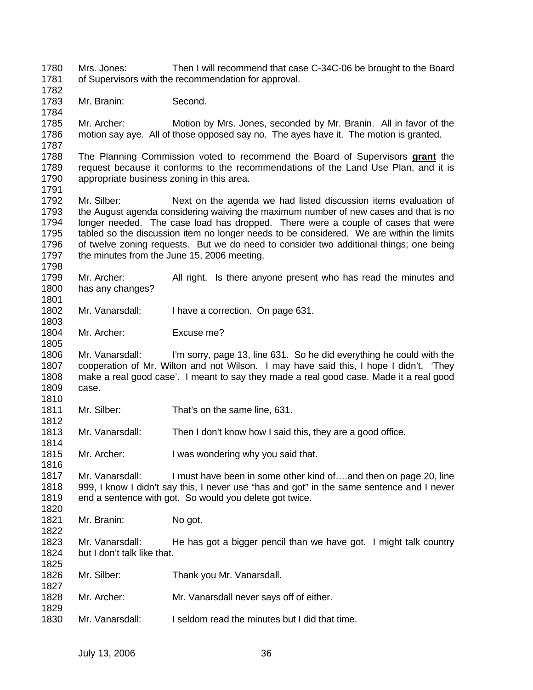1780 1781 1782 1783 1784 1785 1786 1787 Mrs. Jones: Then I will recommend that case C-34C-06 be brought to the Board of Supervisors with the recommendation for approval. Mr. Branin: Second. Mr. Archer: Motion by Mrs. Jones, seconded by Mr. Branin. All in favor of the motion say aye. All of those opposed say no. The ayes have it. The motion is granted. The Planning Commission voted to recommend the Board of Supervisors **grant** the request because it conforms to the recommendations of the Land Use Plan, and it is appropriate business zoning in this area. 1788 1789 1790 1791 1792 1793 1794 1795 1796 1797 1798 1799 1800 1801 1802 1803 1804 1805 1806 1807 1808 1809 1810 1811 1812 1813 1814 1815 1816 1817 1818 1819 1820 1821 1822 1823 1824 1825 1826 1827 1828 1829 1830 Mr. Silber: Next on the agenda we had listed discussion items evaluation of the August agenda considering waiving the maximum number of new cases and that is no longer needed. The case load has dropped. There were a couple of cases that were tabled so the discussion item no longer needs to be considered. We are within the limits of twelve zoning requests. But we do need to consider two additional things; one being the minutes from the June 15, 2006 meeting. Mr. Archer: All right. Is there anyone present who has read the minutes and has any changes? Mr. Vanarsdall: I have a correction. On page 631. Mr. Archer: Excuse me? Mr. Vanarsdall: I'm sorry, page 13, line 631. So he did everything he could with the cooperation of Mr. Wilton and not Wilson. I may have said this, I hope I didn't. 'They make a real good case'. I meant to say they made a real good case. Made it a real good case. Mr. Silber: That's on the same line, 631. Mr. Vanarsdall: Then I don't know how I said this, they are a good office. Mr. Archer: I was wondering why you said that. Mr. Vanarsdall: I must have been in some other kind of….and then on page 20, line 999, I know I didn't say this, I never use "has and got" in the same sentence and I never end a sentence with got. So would you delete got twice. Mr. Branin: No got. Mr. Vanarsdall: He has got a bigger pencil than we have got. I might talk country but I don't talk like that. Mr. Silber: Thank you Mr. Vanarsdall. Mr. Archer: Mr. Vanarsdall never says off of either. Mr. Vanarsdall: I seldom read the minutes but I did that time.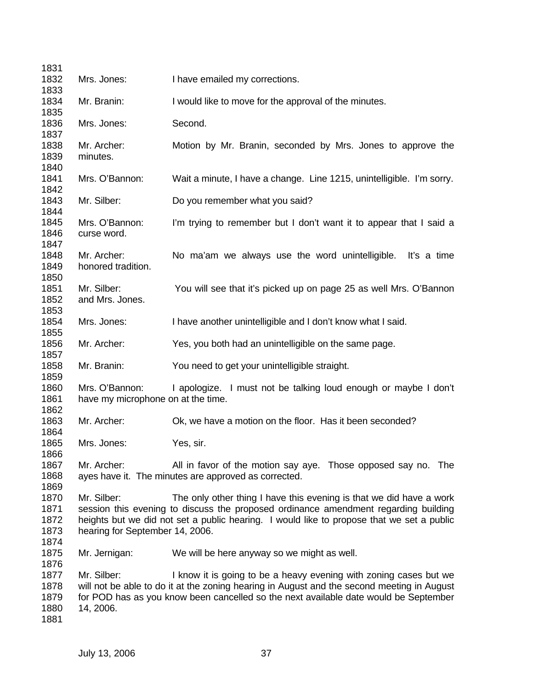| 1831         |                                                                                                                                                                                |                                                                                                                       |  |  |
|--------------|--------------------------------------------------------------------------------------------------------------------------------------------------------------------------------|-----------------------------------------------------------------------------------------------------------------------|--|--|
| 1832         | Mrs. Jones:                                                                                                                                                                    | I have emailed my corrections.                                                                                        |  |  |
| 1833         |                                                                                                                                                                                |                                                                                                                       |  |  |
| 1834<br>1835 | Mr. Branin:                                                                                                                                                                    | I would like to move for the approval of the minutes.                                                                 |  |  |
| 1836         | Mrs. Jones:                                                                                                                                                                    | Second.                                                                                                               |  |  |
| 1837         |                                                                                                                                                                                |                                                                                                                       |  |  |
| 1838         | Mr. Archer:                                                                                                                                                                    | Motion by Mr. Branin, seconded by Mrs. Jones to approve the                                                           |  |  |
| 1839<br>1840 | minutes.                                                                                                                                                                       |                                                                                                                       |  |  |
| 1841         | Mrs. O'Bannon:                                                                                                                                                                 | Wait a minute, I have a change. Line 1215, unintelligible. I'm sorry.                                                 |  |  |
| 1842         |                                                                                                                                                                                |                                                                                                                       |  |  |
| 1843         | Mr. Silber:                                                                                                                                                                    | Do you remember what you said?                                                                                        |  |  |
| 1844         |                                                                                                                                                                                |                                                                                                                       |  |  |
| 1845         | Mrs. O'Bannon:                                                                                                                                                                 | I'm trying to remember but I don't want it to appear that I said a                                                    |  |  |
| 1846         | curse word.                                                                                                                                                                    |                                                                                                                       |  |  |
| 1847         |                                                                                                                                                                                |                                                                                                                       |  |  |
| 1848         | Mr. Archer:                                                                                                                                                                    | No ma'am we always use the word unintelligible.<br>It's a time                                                        |  |  |
| 1849<br>1850 | honored tradition.                                                                                                                                                             |                                                                                                                       |  |  |
| 1851         | Mr. Silber:                                                                                                                                                                    | You will see that it's picked up on page 25 as well Mrs. O'Bannon                                                     |  |  |
| 1852         | and Mrs. Jones.                                                                                                                                                                |                                                                                                                       |  |  |
| 1853         |                                                                                                                                                                                |                                                                                                                       |  |  |
| 1854         | Mrs. Jones:                                                                                                                                                                    | I have another unintelligible and I don't know what I said.                                                           |  |  |
| 1855         |                                                                                                                                                                                |                                                                                                                       |  |  |
| 1856         | Mr. Archer:                                                                                                                                                                    | Yes, you both had an unintelligible on the same page.                                                                 |  |  |
| 1857         |                                                                                                                                                                                |                                                                                                                       |  |  |
| 1858<br>1859 | Mr. Branin:                                                                                                                                                                    | You need to get your unintelligible straight.                                                                         |  |  |
| 1860         | Mrs. O'Bannon:                                                                                                                                                                 | I apologize. I must not be talking loud enough or maybe I don't                                                       |  |  |
| 1861         | have my microphone on at the time.                                                                                                                                             |                                                                                                                       |  |  |
| 1862         |                                                                                                                                                                                |                                                                                                                       |  |  |
| 1863         | Mr. Archer:                                                                                                                                                                    | Ok, we have a motion on the floor. Has it been seconded?                                                              |  |  |
| 1864         |                                                                                                                                                                                |                                                                                                                       |  |  |
| 1865         | Mrs. Jones:                                                                                                                                                                    | Yes, sir.                                                                                                             |  |  |
| 1866<br>1867 |                                                                                                                                                                                |                                                                                                                       |  |  |
| 1868         | Mr. Archer:                                                                                                                                                                    | All in favor of the motion say aye. Those opposed say no. The<br>ayes have it. The minutes are approved as corrected. |  |  |
| 1869         |                                                                                                                                                                                |                                                                                                                       |  |  |
| 1870         | Mr. Silber:                                                                                                                                                                    | The only other thing I have this evening is that we did have a work                                                   |  |  |
| 1871         | session this evening to discuss the proposed ordinance amendment regarding building                                                                                            |                                                                                                                       |  |  |
| 1872         | heights but we did not set a public hearing. I would like to propose that we set a public                                                                                      |                                                                                                                       |  |  |
| 1873         | hearing for September 14, 2006.                                                                                                                                                |                                                                                                                       |  |  |
| 1874         |                                                                                                                                                                                |                                                                                                                       |  |  |
| 1875         | Mr. Jernigan:                                                                                                                                                                  | We will be here anyway so we might as well.                                                                           |  |  |
| 1876<br>1877 |                                                                                                                                                                                |                                                                                                                       |  |  |
| 1878         | Mr. Silber:<br>I know it is going to be a heavy evening with zoning cases but we<br>will not be able to do it at the zoning hearing in August and the second meeting in August |                                                                                                                       |  |  |
| 1879         | for POD has as you know been cancelled so the next available date would be September                                                                                           |                                                                                                                       |  |  |
| 1880         | 14, 2006.                                                                                                                                                                      |                                                                                                                       |  |  |
| 1881         |                                                                                                                                                                                |                                                                                                                       |  |  |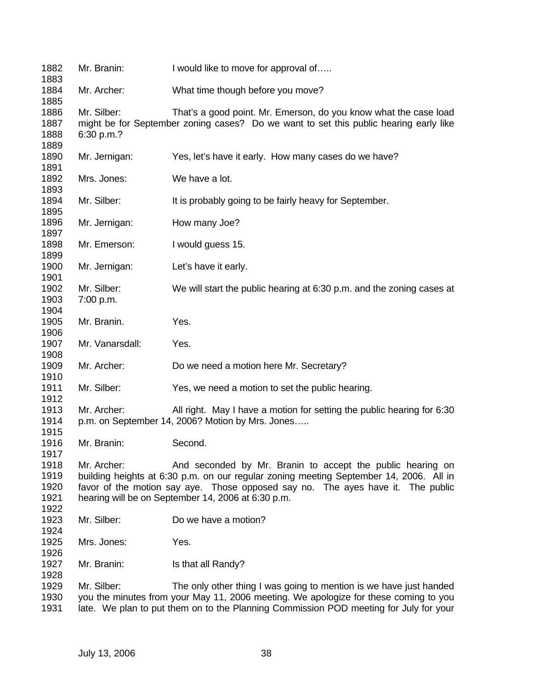| 1882<br>1883                         | Mr. Branin:                                                                                                                                                                                                                                                                                                  | I would like to move for approval of                                  |  |
|--------------------------------------|--------------------------------------------------------------------------------------------------------------------------------------------------------------------------------------------------------------------------------------------------------------------------------------------------------------|-----------------------------------------------------------------------|--|
| 1884<br>1885                         | Mr. Archer:                                                                                                                                                                                                                                                                                                  | What time though before you move?                                     |  |
| 1886<br>1887<br>1888                 | Mr. Silber:<br>That's a good point. Mr. Emerson, do you know what the case load<br>might be for September zoning cases? Do we want to set this public hearing early like<br>6:30 p.m.?                                                                                                                       |                                                                       |  |
| 1889<br>1890<br>1891                 | Mr. Jernigan:                                                                                                                                                                                                                                                                                                | Yes, let's have it early. How many cases do we have?                  |  |
| 1892<br>1893                         | Mrs. Jones:                                                                                                                                                                                                                                                                                                  | We have a lot.                                                        |  |
| 1894<br>1895                         | Mr. Silber:                                                                                                                                                                                                                                                                                                  | It is probably going to be fairly heavy for September.                |  |
| 1896<br>1897                         | Mr. Jernigan:                                                                                                                                                                                                                                                                                                | How many Joe?                                                         |  |
| 1898<br>1899                         | Mr. Emerson:                                                                                                                                                                                                                                                                                                 | I would guess 15.                                                     |  |
| 1900<br>1901                         | Mr. Jernigan:                                                                                                                                                                                                                                                                                                | Let's have it early.                                                  |  |
| 1902<br>1903<br>1904                 | Mr. Silber:<br>7:00 p.m.                                                                                                                                                                                                                                                                                     | We will start the public hearing at 6:30 p.m. and the zoning cases at |  |
| 1905<br>1906                         | Mr. Branin.                                                                                                                                                                                                                                                                                                  | Yes.                                                                  |  |
| 1907<br>1908                         | Mr. Vanarsdall:                                                                                                                                                                                                                                                                                              | Yes.                                                                  |  |
| 1909<br>1910                         | Mr. Archer:                                                                                                                                                                                                                                                                                                  | Do we need a motion here Mr. Secretary?                               |  |
| 1911<br>1912                         | Mr. Silber:                                                                                                                                                                                                                                                                                                  | Yes, we need a motion to set the public hearing.                      |  |
| 1913<br>1914<br>1915                 | Mr. Archer:<br>All right. May I have a motion for setting the public hearing for 6:30<br>p.m. on September 14, 2006? Motion by Mrs. Jones                                                                                                                                                                    |                                                                       |  |
| 1916<br>1917                         | Mr. Branin:                                                                                                                                                                                                                                                                                                  | Second.                                                               |  |
| 1918<br>1919<br>1920<br>1921<br>1922 | Mr. Archer:<br>And seconded by Mr. Branin to accept the public hearing on<br>building heights at 6:30 p.m. on our regular zoning meeting September 14, 2006. All in<br>favor of the motion say aye. Those opposed say no. The ayes have it. The public<br>hearing will be on September 14, 2006 at 6:30 p.m. |                                                                       |  |
| 1923<br>1924                         | Mr. Silber:                                                                                                                                                                                                                                                                                                  | Do we have a motion?                                                  |  |
| 1925<br>1926                         | Mrs. Jones:                                                                                                                                                                                                                                                                                                  | Yes.                                                                  |  |
| 1927<br>1928                         | Mr. Branin:                                                                                                                                                                                                                                                                                                  | Is that all Randy?                                                    |  |
| 1929<br>1930<br>1931                 | Mr. Silber:<br>The only other thing I was going to mention is we have just handed<br>you the minutes from your May 11, 2006 meeting. We apologize for these coming to you<br>late. We plan to put them on to the Planning Commission POD meeting for July for your                                           |                                                                       |  |